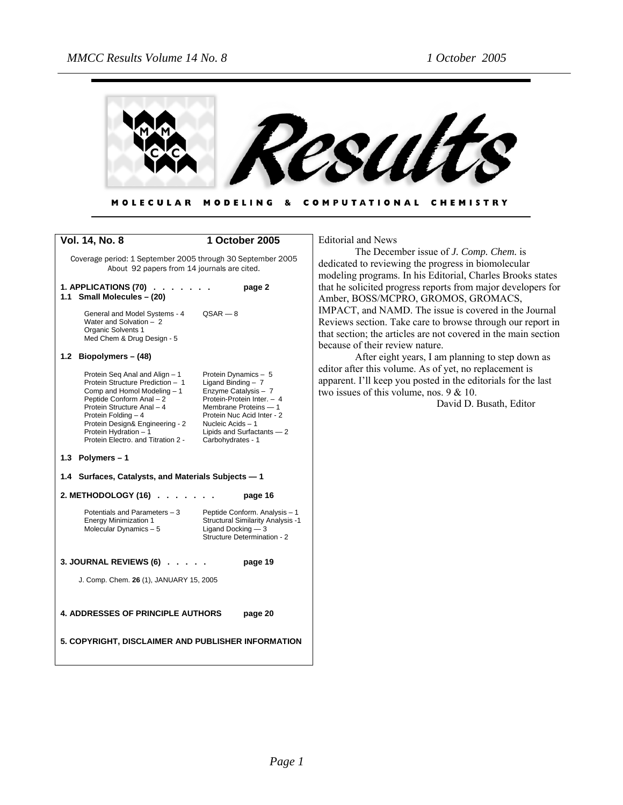

#### MODELING & COMPUTATIONAL CHEMISTRY **MOLECULAR**

| <b>Vol. 14, No. 8</b>                                                                                                                                                                                                                                                                | 1 October 2005                                                                                                                                                                                                                   |
|--------------------------------------------------------------------------------------------------------------------------------------------------------------------------------------------------------------------------------------------------------------------------------------|----------------------------------------------------------------------------------------------------------------------------------------------------------------------------------------------------------------------------------|
| Coverage period: 1 September 2005 through 30 September 2005<br>About 92 papers from 14 journals are cited.                                                                                                                                                                           |                                                                                                                                                                                                                                  |
| 1. APPLICATIONS (70)<br>Small Molecules - (20)<br>1.1                                                                                                                                                                                                                                | page 2                                                                                                                                                                                                                           |
| General and Model Systems - 4<br>Water and Solvation - 2<br>Organic Solvents 1<br>Med Chem & Drug Design - 5                                                                                                                                                                         | $QSAR - 8$                                                                                                                                                                                                                       |
| 1.2 Biopolymers - (48)                                                                                                                                                                                                                                                               |                                                                                                                                                                                                                                  |
| Protein Seq Anal and Align - 1<br>Protein Structure Prediction - 1<br>Comp and Homol Modeling - 1<br>Peptide Conform Anal - 2<br>Protein Structure Anal - 4<br>Protein Folding - 4<br>Protein Design& Engineering - 2<br>Protein Hydration - 1<br>Protein Electro, and Titration 2 - | Protein Dynamics - 5<br>Ligand Binding $-7$<br>Enzyme Catalysis - 7<br>Protein-Protein Inter. - 4<br>Membrane Proteins - 1<br>Protein Nuc Acid Inter - 2<br>Nucleic Acids - 1<br>Lipids and Surfactants - 2<br>Carbohydrates - 1 |
| 1.3 Polymers-1                                                                                                                                                                                                                                                                       |                                                                                                                                                                                                                                  |
| Surfaces, Catalysts, and Materials Subjects - 1<br>1.4                                                                                                                                                                                                                               |                                                                                                                                                                                                                                  |
| 2. METHODOLOGY (16).                                                                                                                                                                                                                                                                 | page 16                                                                                                                                                                                                                          |
| Potentials and Parameters - 3<br><b>Energy Minimization 1</b><br>Molecular Dynamics - 5                                                                                                                                                                                              | Peptide Conform. Analysis - 1<br>Structural Similarity Analysis -1<br>Ligand Docking - 3<br>Structure Determination - 2                                                                                                          |
| 3. JOURNAL REVIEWS (6).                                                                                                                                                                                                                                                              | page 19                                                                                                                                                                                                                          |
| J. Comp. Chem. 26 (1), JANUARY 15, 2005                                                                                                                                                                                                                                              |                                                                                                                                                                                                                                  |
| <b>4. ADDRESSES OF PRINCIPLE AUTHORS</b>                                                                                                                                                                                                                                             | page 20                                                                                                                                                                                                                          |
| 5. COPYRIGHT, DISCLAIMER AND PUBLISHER INFORMATION                                                                                                                                                                                                                                   |                                                                                                                                                                                                                                  |

Editorial and News

The December issue of *J. Comp. Chem.* is dedicated to reviewing the progress in biomolecular modeling programs. In his Editorial, Charles Brooks states that he solicited progress reports from major developers for Amber, BOSS/MCPRO, GROMOS, GROMACS, IMPACT, and NAMD. The issue is covered in the Journal Reviews section. Take care to browse through our report in that section; the articles are not covered in the main section because of their review nature.

After eight years, I am planning to step down as editor after this volume. As of yet, no replacement is apparent. I'll keep you posted in the editorials for the last two issues of this volume, nos. 9 & 10.

David D. Busath, Editor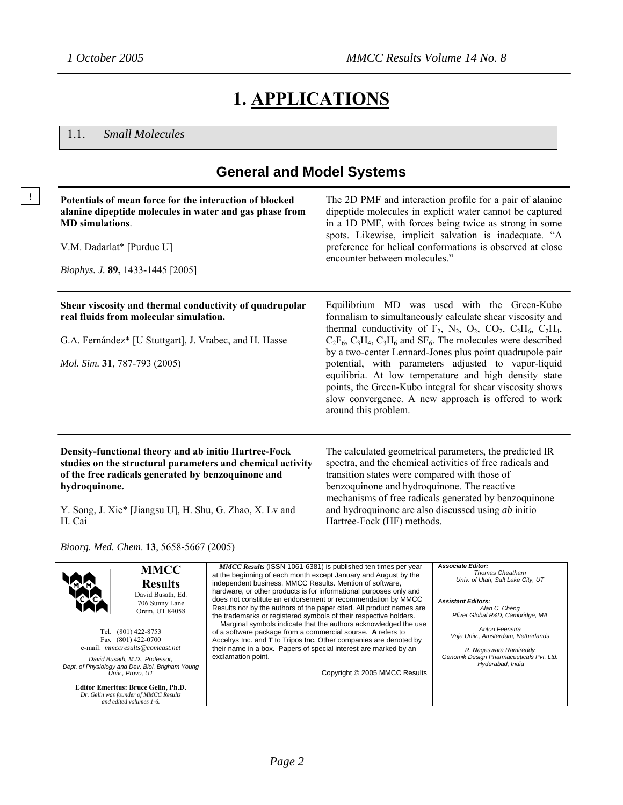# **1. APPLICATIONS**

1.1. *Small Molecules*

e-mail: *mmccresults@comcast.net David Busath, M.D., Professor, Dept. of Physiology and Dev. Biol. Brigham Young Univ., Provo, UT* **Editor Emeritus: Bruce Gelin, Ph.D.**  *Dr. Gelin was founder of MMCC Results and edited volumes 1-6.*

#### **General and Model Systems ! Potentials of mean force for the interaction of blocked alanine dipeptide molecules in water and gas phase from MD simulations**. V.M. Dadarlat\* [Purdue U] *Biophys. J.* **89,** 1433-1445 [2005] The 2D PMF and interaction profile for a pair of alanine dipeptide molecules in explicit water cannot be captured in a 1D PMF, with forces being twice as strong in some spots. Likewise, implicit salvation is inadequate. "A preference for helical conformations is observed at close encounter between molecules." **Shear viscosity and thermal conductivity of quadrupolar real fluids from molecular simulation.**  G.A. Fernández\* [U Stuttgart], J. Vrabec, and H. Hasse *Mol. Sim.* **31**, 787-793 (2005) Equilibrium MD was used with the Green-Kubo formalism to simultaneously calculate shear viscosity and thermal conductivity of  $F_2$ ,  $N_2$ ,  $O_2$ ,  $CO_2$ ,  $C_2H_6$ ,  $C_2H_4$ ,  $C_2F_6$ ,  $C_3H_4$ ,  $C_3H_6$  and  $SF_6$ . The molecules were described by a two-center Lennard-Jones plus point quadrupole pair potential, with parameters adjusted to vapor-liquid equilibria. At low temperature and high density state points, the Green-Kubo integral for shear viscosity shows slow convergence. A new approach is offered to work around this problem. **Density-functional theory and ab initio Hartree-Fock studies on the structural parameters and chemical activity of the free radicals generated by benzoquinone and hydroquinone.**  Y. Song, J. Xie\* [Jiangsu U], H. Shu, G. Zhao, X. Lv and H. Cai *Bioorg. Med. Chem*. **13**, 5658-5667 (2005) The calculated geometrical parameters, the predicted IR spectra, and the chemical activities of free radicals and transition states were compared with those of benzoquinone and hydroquinone. The reactive mechanisms of free radicals generated by benzoquinone and hydroquinone are also discussed using *ab* initio Hartree-Fock (HF) methods. **MMCC Results**  David Busath, Ed. 706 Sunny Lane Orem, UT 84058 Tel. (801) 422-8753 Fax (801) 422-0700  *MMCC Results* (ISSN 1061-6381) is published ten times per year at the beginning of each month except January and August by the independent business, MMCC Results. Mention of software hardware, or other products is for informational purposes only and does not constitute an endorsement or recommendation by MMCC Results nor by the authors of the paper cited. All product names are the trademarks or registered symbols of their respective holders. Marginal symbols indicate that the authors acknowledged the use of a software package from a commercial sourse. **A** refers to Accelrys Inc. and **T** to Tripos Inc. Other companies are denoted by *Associate Editor: Thomas Cheatham Univ. of Utah, Salt Lake City, UT Assistant Editors: Alan C. Cheng Pfizer Global R&D, Cambridge, MA Anton Feenstra Vrije Univ., Amsterdam, Netherlands*

*R. Nageswara Ramireddy Genomik Design Pharmaceuticals Pvt. Ltd. Hyderabad, India*

exclamation point.

their name in a box. Papers of special interest are marked by an

Copyright © 2005 MMCC Results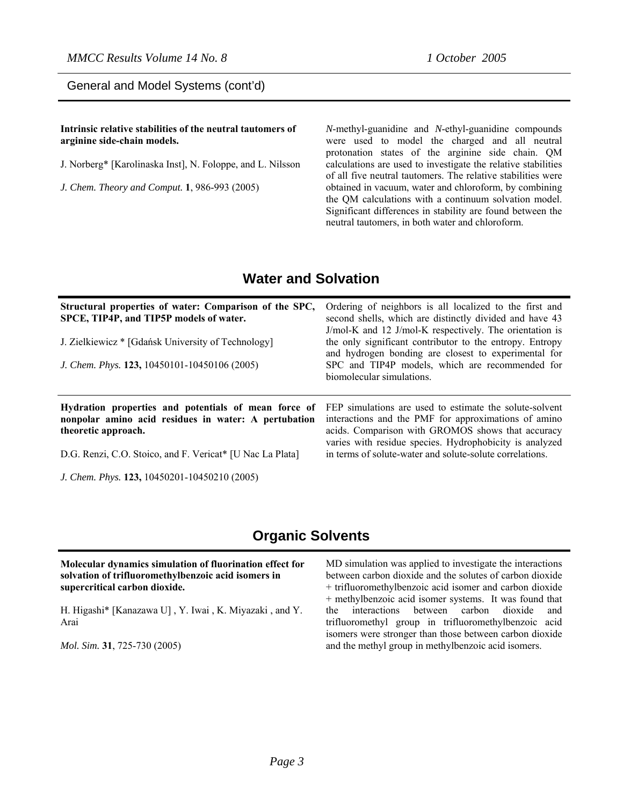General and Model Systems (cont'd)

**Intrinsic relative stabilities of the neutral tautomers of arginine side-chain models.** 

J. Norberg\* [Karolinaska Inst], N. Foloppe, and L. Nilsson

*J. Chem. Theory and Comput.* **1**, 986-993 (2005)

*N*-methyl-guanidine and *N*-ethyl-guanidine compounds were used to model the charged and all neutral protonation states of the arginine side chain. QM calculations are used to investigate the relative stabilities of all five neutral tautomers. The relative stabilities were obtained in vacuum, water and chloroform, by combining the QM calculations with a continuum solvation model. Significant differences in stability are found between the neutral tautomers, in both water and chloroform.

### **Water and Solvation**

| Structural properties of water: Comparison of the SPC,<br>SPCE, TIP4P, and TIP5P models of water.<br>J. Zielkiewicz * [Gdańsk University of Technology]<br>J. Chem. Phys. 123, 10450101-10450106 (2005) | Ordering of neighbors is all localized to the first and<br>second shells, which are distinctly divided and have 43<br>J/mol-K and 12 J/mol-K respectively. The orientation is<br>the only significant contributor to the entropy. Entropy<br>and hydrogen bonding are closest to experimental for<br>SPC and TIP4P models, which are recommended for<br>biomolecular simulations. |
|---------------------------------------------------------------------------------------------------------------------------------------------------------------------------------------------------------|-----------------------------------------------------------------------------------------------------------------------------------------------------------------------------------------------------------------------------------------------------------------------------------------------------------------------------------------------------------------------------------|
| Hydration properties and potentials of mean force of<br>nonpolar amino acid residues in water: A pertubation<br>theoretic approach.                                                                     | FEP simulations are used to estimate the solute-solvent<br>interactions and the PMF for approximations of amino<br>acids. Comparison with GROMOS shows that accuracy<br>varies with residue species. Hydrophobicity is analyzed                                                                                                                                                   |
| D.G. Renzi, C.O. Stoico, and F. Vericat* [U Nac La Plata]                                                                                                                                               | in terms of solute-water and solute-solute correlations.                                                                                                                                                                                                                                                                                                                          |
| J. Chem. Phys. 123, 10450201-10450210 (2005)                                                                                                                                                            |                                                                                                                                                                                                                                                                                                                                                                                   |

### **Organic Solvents**

| Molecular dynamics simulation of fluorination effect for |
|----------------------------------------------------------|
| solvation of trifluoromethylbenzoic acid isomers in      |
| supercritical carbon dioxide.                            |

H. Higashi\* [Kanazawa U] , Y. Iwai , K. Miyazaki , and Y. Arai

*Mol. Sim.* **31**, 725-730 (2005)

MD simulation was applied to investigate the interactions between carbon dioxide and the solutes of carbon dioxide + trifluoromethylbenzoic acid isomer and carbon dioxide + methylbenzoic acid isomer systems. It was found that the interactions between carbon dioxide and trifluoromethyl group in trifluoromethylbenzoic acid isomers were stronger than those between carbon dioxide and the methyl group in methylbenzoic acid isomers.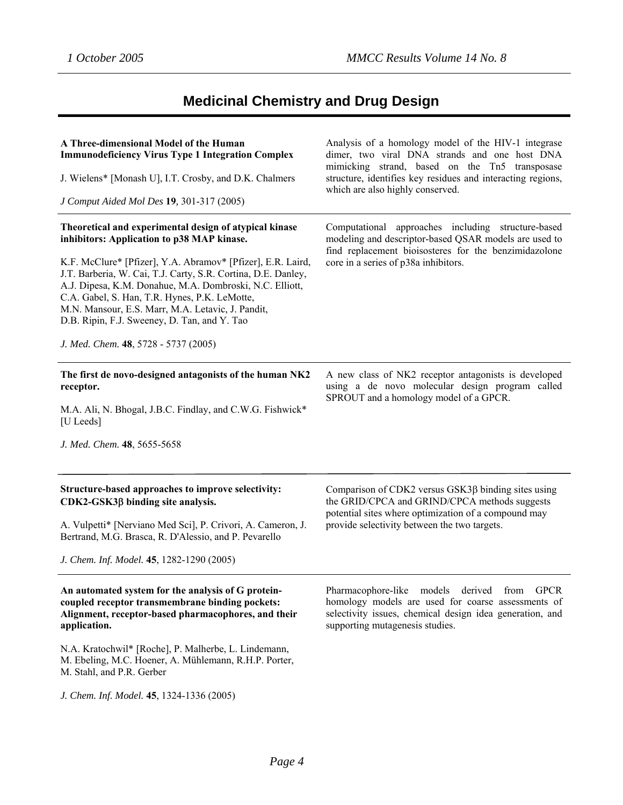# **Medicinal Chemistry and Drug Design**

| A Three-dimensional Model of the Human<br><b>Immunodeficiency Virus Type 1 Integration Complex</b><br>J. Wielens* [Monash U], I.T. Crosby, and D.K. Chalmers<br>J Comput Aided Mol Des 19, 301-317 (2005)                                                                                                                                                                                                                                                                                      | Analysis of a homology model of the HIV-1 integrase<br>dimer, two viral DNA strands and one host DNA<br>mimicking strand, based on the Tn5 transposase<br>structure, identifies key residues and interacting regions,<br>which are also highly conserved. |
|------------------------------------------------------------------------------------------------------------------------------------------------------------------------------------------------------------------------------------------------------------------------------------------------------------------------------------------------------------------------------------------------------------------------------------------------------------------------------------------------|-----------------------------------------------------------------------------------------------------------------------------------------------------------------------------------------------------------------------------------------------------------|
| Theoretical and experimental design of atypical kinase<br>inhibitors: Application to p38 MAP kinase.<br>K.F. McClure* [Pfizer], Y.A. Abramov* [Pfizer], E.R. Laird,<br>J.T. Barberia, W. Cai, T.J. Carty, S.R. Cortina, D.E. Danley,<br>A.J. Dipesa, K.M. Donahue, M.A. Dombroski, N.C. Elliott,<br>C.A. Gabel, S. Han, T.R. Hynes, P.K. LeMotte,<br>M.N. Mansour, E.S. Marr, M.A. Letavic, J. Pandit,<br>D.B. Ripin, F.J. Sweeney, D. Tan, and Y. Tao<br>J. Med. Chem. 48, 5728 - 5737 (2005) | Computational approaches including structure-based<br>modeling and descriptor-based QSAR models are used to<br>find replacement bioisosteres for the benzimidazolone<br>core in a series of p38a inhibitors.                                              |
| The first de novo-designed antagonists of the human NK2<br>receptor.<br>M.A. Ali, N. Bhogal, J.B.C. Findlay, and C.W.G. Fishwick*<br>[U Leeds]<br>J. Med. Chem. 48, 5655-5658                                                                                                                                                                                                                                                                                                                  | A new class of NK2 receptor antagonists is developed<br>using a de novo molecular design program called<br>SPROUT and a homology model of a GPCR.                                                                                                         |
| Structure-based approaches to improve selectivity:<br>CDK2-GSK3β binding site analysis.<br>A. Vulpetti* [Nerviano Med Sci], P. Crivori, A. Cameron, J.<br>Bertrand, M.G. Brasca, R. D'Alessio, and P. Pevarello<br>J. Chem. Inf. Model. 45, 1282-1290 (2005)                                                                                                                                                                                                                                   | Comparison of CDK2 versus GSK3β binding sites using<br>the GRID/CPCA and GRIND/CPCA methods suggests<br>potential sites where optimization of a compound may<br>provide selectivity between the two targets.                                              |
| An automated system for the analysis of G protein-<br>coupled receptor transmembrane binding pockets:<br>Alignment, receptor-based pharmacophores, and their<br>application.<br>N.A. Kratochwil* [Roche], P. Malherbe, L. Lindemann,<br>M. Ebeling, M.C. Hoener, A. Mühlemann, R.H.P. Porter,<br>M. Stahl, and P.R. Gerber<br>J. Chem. Inf. Model. 45, 1324-1336 (2005)                                                                                                                        | Pharmacophore-like models derived from GPCR<br>homology models are used for coarse assessments of<br>selectivity issues, chemical design idea generation, and<br>supporting mutagenesis studies.                                                          |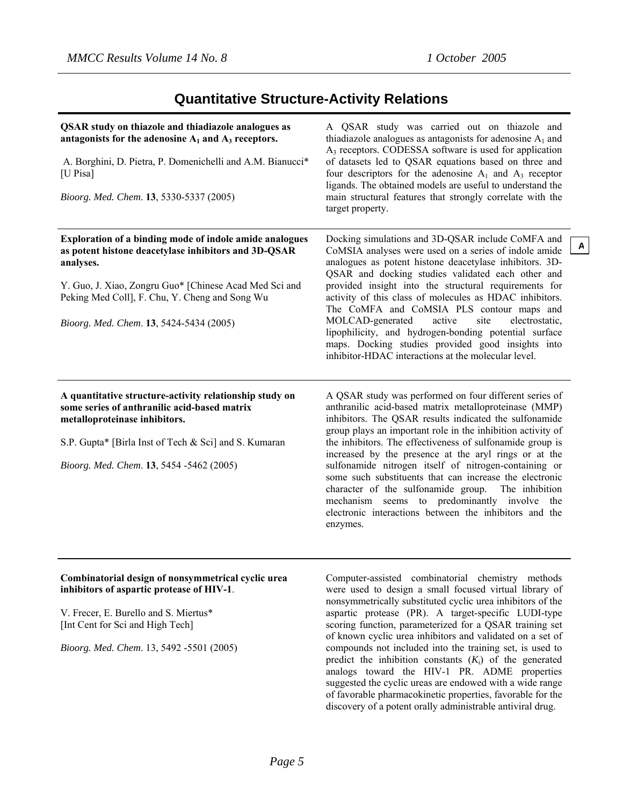analogs toward the HIV-1 PR. ADME properties suggested the cyclic ureas are endowed with a wide range of favorable pharmacokinetic properties, favorable for the discovery of a potent orally administrable antiviral drug.

**A**

### **Quantitative Structure-Activity Relations**

| <b>QSAR</b> study on thiazole and thiadiazole analogues as<br>antagonists for the adenosine $A_1$ and $A_3$ receptors.<br>A. Borghini, D. Pietra, P. Domenichelli and A.M. Bianucci*<br>[U Pisa]<br>Bioorg. Med. Chem. 13, 5330-5337 (2005)                                         | A QSAR study was carried out on thiazole and<br>thiadiazole analogues as antagonists for adenosine $A_1$ and<br>A <sub>3</sub> receptors. CODESSA software is used for application<br>of datasets led to QSAR equations based on three and<br>four descriptors for the adenosine $A_1$ and $A_3$ receptor<br>ligands. The obtained models are useful to understand the<br>main structural features that strongly correlate with the<br>target property.                                                                                                                                                                                                           |
|-------------------------------------------------------------------------------------------------------------------------------------------------------------------------------------------------------------------------------------------------------------------------------------|-------------------------------------------------------------------------------------------------------------------------------------------------------------------------------------------------------------------------------------------------------------------------------------------------------------------------------------------------------------------------------------------------------------------------------------------------------------------------------------------------------------------------------------------------------------------------------------------------------------------------------------------------------------------|
| Exploration of a binding mode of indole amide analogues<br>as potent histone deacetylase inhibitors and 3D-QSAR<br>analyses.<br>Y. Guo, J. Xiao, Zongru Guo* [Chinese Acad Med Sci and<br>Peking Med Coll], F. Chu, Y. Cheng and Song Wu<br>Bioorg. Med. Chem. 13, 5424-5434 (2005) | Docking simulations and 3D-QSAR include CoMFA and<br>CoMSIA analyses were used on a series of indole amide<br>analogues as potent histone deacetylase inhibitors. 3D-<br>QSAR and docking studies validated each other and<br>provided insight into the structural requirements for<br>activity of this class of molecules as HDAC inhibitors.<br>The CoMFA and CoMSIA PLS contour maps and<br>MOLCAD-generated<br>electrostatic,<br>active<br>site<br>lipophilicity, and hydrogen-bonding potential surface<br>maps. Docking studies provided good insights into<br>inhibitor-HDAC interactions at the molecular level.                                          |
| A quantitative structure-activity relationship study on<br>some series of anthranilic acid-based matrix<br>metalloproteinase inhibitors.<br>S.P. Gupta* [Birla Inst of Tech & Sci] and S. Kumaran<br>Bioorg. Med. Chem. 13, 5454 -5462 (2005)                                       | A QSAR study was performed on four different series of<br>anthranilic acid-based matrix metalloproteinase (MMP)<br>inhibitors. The QSAR results indicated the sulfonamide<br>group plays an important role in the inhibition activity of<br>the inhibitors. The effectiveness of sulfonamide group is<br>increased by the presence at the aryl rings or at the<br>sulfonamide nitrogen itself of nitrogen-containing or<br>some such substituents that can increase the electronic<br>character of the sulfonamide group.<br>The inhibition<br>mechanism seems to predominantly involve the<br>electronic interactions between the inhibitors and the<br>enzymes. |
| Combinatorial design of nonsymmetrical cyclic urea<br>inhibitors of aspartic protease of HIV-1.<br>V. Frecer, E. Burello and S. Miertus*<br>[Int Cent for Sci and High Tech]<br>Bioorg. Med. Chem. 13, 5492 -5501 (2005)                                                            | Computer-assisted combinatorial chemistry methods<br>were used to design a small focused virtual library of<br>nonsymmetrically substituted cyclic urea inhibitors of the<br>aspartic protease (PR). A target-specific LUDI-type<br>scoring function, parameterized for a QSAR training set<br>of known cyclic urea inhibitors and validated on a set of<br>compounds not included into the training set, is used to<br>predict the inhibition constants $(K_i)$ of the generated                                                                                                                                                                                 |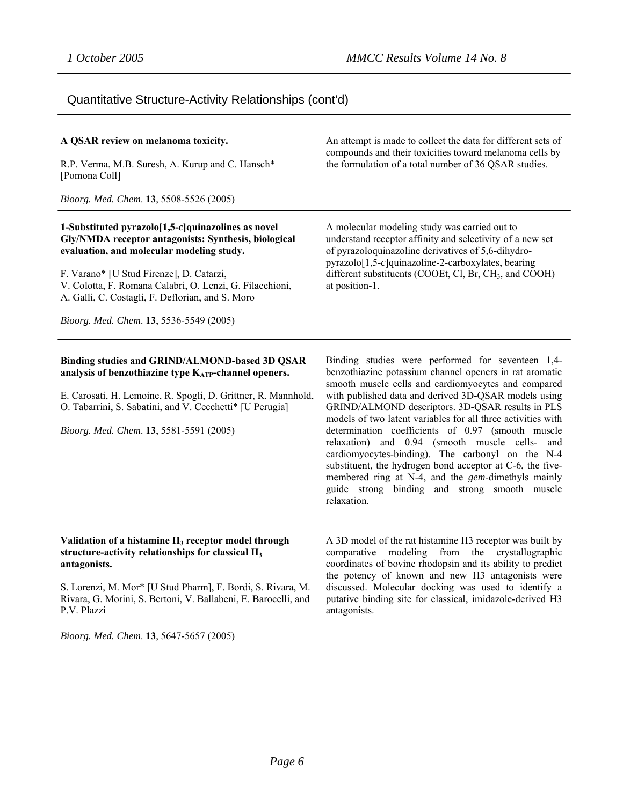### Quantitative Structure-Activity Relationships (cont'd)

#### **A QSAR review on melanoma toxicity.**

R.P. Verma, M.B. Suresh, A. Kurup and C. Hansch\* [Pomona Coll]

*Bioorg. Med. Chem*. **13**, 5508-5526 (2005)

#### **1-Substituted pyrazolo[1,5-***c***]quinazolines as novel Gly/NMDA receptor antagonists: Synthesis, biological evaluation, and molecular modeling study.**

F. Varano\* [U Stud Firenze], D. Catarzi, V. Colotta, F. Romana Calabri, O. Lenzi, G. Filacchioni, A. Galli, C. Costagli, F. Deflorian, and S. Moro

*Bioorg. Med. Chem*. **13**, 5536-5549 (2005)

#### **Binding studies and GRIND/ALMOND-based 3D QSAR analysis of benzothiazine type KATP-channel openers.**

E. Carosati, H. Lemoine, R. Spogli, D. Grittner, R. Mannhold, O. Tabarrini, S. Sabatini, and V. Cecchetti\* [U Perugia]

*Bioorg. Med. Chem*. **13**, 5581-5591 (2005)

An attempt is made to collect the data for different sets of compounds and their toxicities toward melanoma cells by the formulation of a total number of 36 QSAR studies.

A molecular modeling study was carried out to understand receptor affinity and selectivity of a new set of pyrazoloquinazoline derivatives of 5,6-dihydropyrazolo[1,5-*c*]quinazoline-2-carboxylates, bearing different substituents (COOEt, Cl, Br, CH<sub>3</sub>, and COOH) at position-1.

Binding studies were performed for seventeen 1,4 benzothiazine potassium channel openers in rat aromatic smooth muscle cells and cardiomyocytes and compared with published data and derived 3D-QSAR models using GRIND/ALMOND descriptors. 3D-QSAR results in PLS models of two latent variables for all three activities with determination coefficients of 0.97 (smooth muscle relaxation) and 0.94 (smooth muscle cells- and cardiomyocytes-binding). The carbonyl on the N-4 substituent, the hydrogen bond acceptor at C-6, the fivemembered ring at N-4, and the *gem*-dimethyls mainly guide strong binding and strong smooth muscle relaxation.

#### **Validation of a histamine H3 receptor model through structure-activity relationships for classical H3 antagonists.**

S. Lorenzi, M. Mor\* [U Stud Pharm], F. Bordi, S. Rivara, M. Rivara, G. Morini, S. Bertoni, V. Ballabeni, E. Barocelli, and P.V. Plazzi

A 3D model of the rat histamine H3 receptor was built by comparative modeling from the crystallographic coordinates of bovine rhodopsin and its ability to predict the potency of known and new H3 antagonists were discussed. Molecular docking was used to identify a putative binding site for classical, imidazole-derived H3 antagonists.

*Bioorg. Med. Chem*. **13**, 5647-5657 (2005)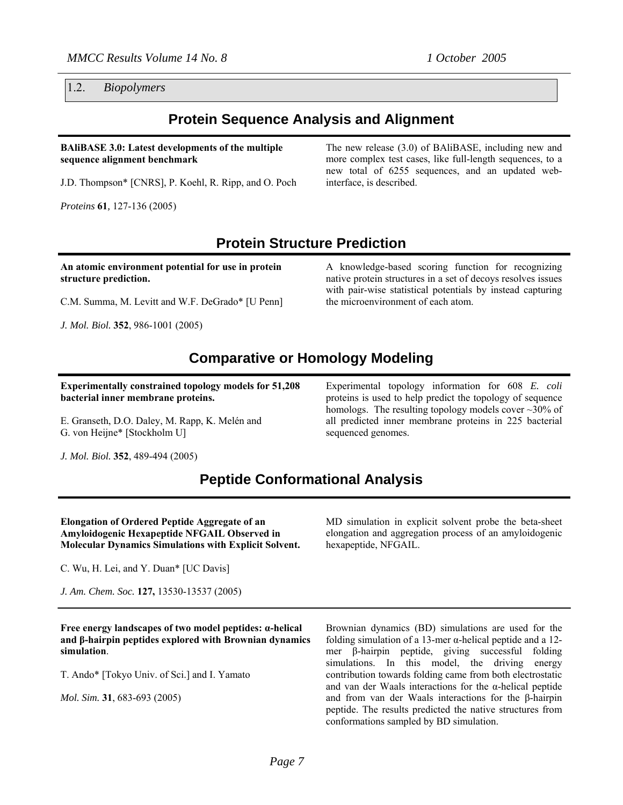1.2. *Biopolymers* 

### **Protein Sequence Analysis and Alignment**

#### **BAliBASE 3.0: Latest developments of the multiple sequence alignment benchmark**

J.D. Thompson\* [CNRS], P. Koehl, R. Ripp, and O. Poch

*Proteins* **61***,* 127-136 (2005)

The new release (3.0) of BAliBASE, including new and more complex test cases, like full-length sequences, to a new total of 6255 sequences, and an updated webinterface, is described.

## **Protein Structure Prediction**

**An atomic environment potential for use in protein structure prediction.** 

C.M. Summa, M. Levitt and W.F. DeGrado\* [U Penn]

*J. Mol. Biol.* **352**, 986-1001 (2005)

A knowledge-based scoring function for recognizing native protein structures in a set of decoys resolves issues with pair-wise statistical potentials by instead capturing the microenvironment of each atom.

### **Comparative or Homology Modeling**

**Experimentally constrained topology models for 51,208 bacterial inner membrane proteins.** 

E. Granseth, D.O. Daley, M. Rapp, K. Melén and G. von Heijne\* [Stockholm U]

Experimental topology information for 608 *E. coli* proteins is used to help predict the topology of sequence homologs. The resulting topology models cover  $\sim$ 30% of all predicted inner membrane proteins in 225 bacterial sequenced genomes.

*J. Mol. Biol.* **352**, 489-494 (2005)

## **Peptide Conformational Analysis**

#### **Elongation of Ordered Peptide Aggregate of an Amyloidogenic Hexapeptide NFGAIL Observed in Molecular Dynamics Simulations with Explicit Solvent.**

C. Wu, H. Lei, and Y. Duan\* [UC Davis]

*J. Am. Chem. Soc.* **127,** 13530-13537 (2005)

**Free energy landscapes of two model peptides: α-helical and β-hairpin peptides explored with Brownian dynamics simulation**.

T. Ando\* [Tokyo Univ. of Sci.] and I. Yamato

*Mol. Sim.* **31**, 683-693 (2005)

MD simulation in explicit solvent probe the beta-sheet elongation and aggregation process of an amyloidogenic hexapeptide, NFGAIL.

Brownian dynamics (BD) simulations are used for the folding simulation of a 13-mer  $\alpha$ -helical peptide and a 12mer β-hairpin peptide, giving successful folding simulations. In this model, the driving energy contribution towards folding came from both electrostatic and van der Waals interactions for the  $\alpha$ -helical peptide and from van der Waals interactions for the β-hairpin peptide. The results predicted the native structures from conformations sampled by BD simulation.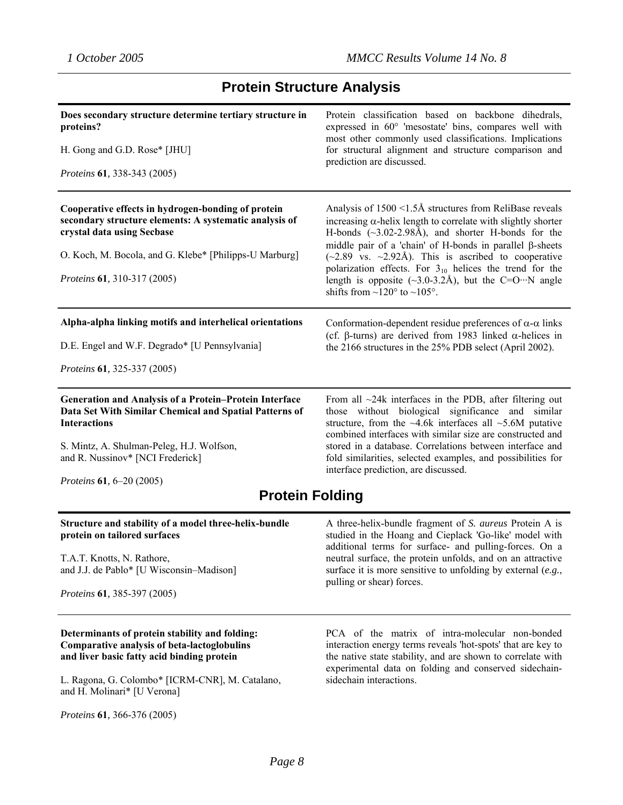# **Protein Structure Analysis**

| Does secondary structure determine tertiary structure in<br>proteins?<br>H. Gong and G.D. Rose* [JHU]                                                                                                                                                | Protein classification based on backbone dihedrals,<br>expressed in 60° 'mesostate' bins, compares well with<br>most other commonly used classifications. Implications<br>for structural alignment and structure comparison and<br>prediction are discussed.                                                                                                                                                                                                                                                                                              |
|------------------------------------------------------------------------------------------------------------------------------------------------------------------------------------------------------------------------------------------------------|-----------------------------------------------------------------------------------------------------------------------------------------------------------------------------------------------------------------------------------------------------------------------------------------------------------------------------------------------------------------------------------------------------------------------------------------------------------------------------------------------------------------------------------------------------------|
| Proteins 61, 338-343 (2005)                                                                                                                                                                                                                          |                                                                                                                                                                                                                                                                                                                                                                                                                                                                                                                                                           |
| Cooperative effects in hydrogen-bonding of protein<br>secondary structure elements: A systematic analysis of<br>crystal data using Secbase<br>O. Koch, M. Bocola, and G. Klebe* [Philipps-U Marburg]<br>Proteins 61, 310-317 (2005)                  | Analysis of $1500 \le l.5$ Å structures from ReliBase reveals<br>increasing $\alpha$ -helix length to correlate with slightly shorter<br>H-bonds $(\sim 3.02 - 2.98 \text{\AA})$ , and shorter H-bonds for the<br>middle pair of a 'chain' of H-bonds in parallel $\beta$ -sheets<br>$(\sim 2.89$ vs. $\sim 2.92$ Å). This is ascribed to cooperative<br>polarization effects. For $3_{10}$ helices the trend for the<br>length is opposite $(\sim 3.0-3.2 \text{Å})$ , but the C=O…N angle<br>shifts from $\sim$ 120 $\degree$ to $\sim$ 105 $\degree$ . |
| Alpha-alpha linking motifs and interhelical orientations                                                                                                                                                                                             | Conformation-dependent residue preferences of $\alpha$ - $\alpha$ links                                                                                                                                                                                                                                                                                                                                                                                                                                                                                   |
| D.E. Engel and W.F. Degrado* [U Pennsylvania]                                                                                                                                                                                                        | (cf. $\beta$ -turns) are derived from 1983 linked $\alpha$ -helices in<br>the 2166 structures in the 25% PDB select (April 2002).                                                                                                                                                                                                                                                                                                                                                                                                                         |
| Proteins 61, 325-337 (2005)                                                                                                                                                                                                                          |                                                                                                                                                                                                                                                                                                                                                                                                                                                                                                                                                           |
| Generation and Analysis of a Protein-Protein Interface<br>Data Set With Similar Chemical and Spatial Patterns of<br><b>Interactions</b><br>S. Mintz, A. Shulman-Peleg, H.J. Wolfson,<br>and R. Nussinov* [NCI Frederick]<br>Proteins 61, 6-20 (2005) | From all $\sim$ 24k interfaces in the PDB, after filtering out<br>those without biological significance and similar<br>structure, from the $~4.6k$ interfaces all $~5.6M$ putative<br>combined interfaces with similar size are constructed and<br>stored in a database. Correlations between interface and<br>fold similarities, selected examples, and possibilities for<br>interface prediction, are discussed.                                                                                                                                        |
| <b>Protein Folding</b>                                                                                                                                                                                                                               |                                                                                                                                                                                                                                                                                                                                                                                                                                                                                                                                                           |
| Structure and stability of a model three-helix-bundle<br>protein on tailored surfaces<br>T.A.T. Knotts, N. Rathore.<br>and J.J. de Pablo* [U Wisconsin-Madison]<br>Proteins 61, 385-397 (2005)                                                       | A three-helix-bundle fragment of S. aureus Protein A is<br>studied in the Hoang and Cieplack 'Go-like' model with<br>additional terms for surface- and pulling-forces. On a<br>neutral surface, the protein unfolds, and on an attractive<br>surface it is more sensitive to unfolding by external $(e.g.,)$<br>pulling or shear) forces.                                                                                                                                                                                                                 |
| Determinants of protein stability and folding:<br><b>Comparative analysis of beta-lactoglobulins</b><br>and liver basic fatty acid binding protein<br>L. Ragona, G. Colombo* [ICRM-CNR], M. Catalano,<br>and H. Molinari* [U Verona]                 | PCA of the matrix of intra-molecular non-bonded<br>interaction energy terms reveals 'hot-spots' that are key to<br>the native state stability, and are shown to correlate with<br>experimental data on folding and conserved sidechain-<br>sidechain interactions.                                                                                                                                                                                                                                                                                        |

*Proteins* **61***,* 366-376 (2005)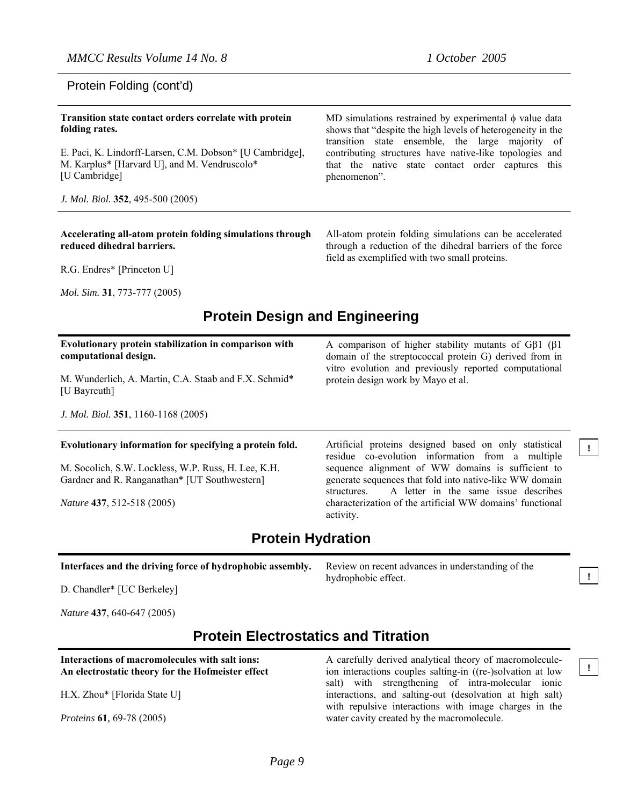All-atom protein folding simulations can be accelerated through a reduction of the dihedral barriers of the force

field as exemplified with two small proteins.

### Protein Folding (cont'd)

#### **Transition state contact orders correlate with protein folding rates.**  E. Paci, K. Lindorff-Larsen, C.M. Dobson\* [U Cambridge], M. Karplus\* [Harvard U], and M. Vendruscolo\* [U Cambridge] *J. Mol. Biol.* **352**, 495-500 (2005) MD simulations restrained by experimental  $\phi$  value data shows that "despite the high levels of heterogeneity in the transition state ensemble, the large majority of contributing structures have native-like topologies and that the native state contact order captures this phenomenon".

#### **Accelerating all-atom protein folding simulations through reduced dihedral barriers.**

R.G. Endres\* [Princeton U]

*Mol. Sim.* **31**, 773-777 (2005)

### **Protein Design and Engineering**

| Evolutionary protein stabilization in comparison with<br>computational design.<br>M. Wunderlich, A. Martin, C.A. Staab and F.X. Schmid*<br>[U Bayreuth] | A comparison of higher stability mutants of G $\beta$ 1 ( $\beta$ 1)<br>domain of the streptococcal protein G) derived from in<br>vitro evolution and previously reported computational<br>protein design work by Mayo et al. |  |
|---------------------------------------------------------------------------------------------------------------------------------------------------------|-------------------------------------------------------------------------------------------------------------------------------------------------------------------------------------------------------------------------------|--|
| J. Mol. Biol. 351, 1160-1168 (2005)                                                                                                                     |                                                                                                                                                                                                                               |  |
| Evolutionary information for specifying a protein fold.                                                                                                 | Artificial proteins designed based on only statistical<br>residue co-evolution information from a multiple                                                                                                                    |  |
| M. Socolich, S.W. Lockless, W.P. Russ, H. Lee, K.H.<br>Gardner and R. Ranganathan* [UT Southwestern]                                                    | sequence alignment of WW domains is sufficient to<br>generate sequences that fold into native-like WW domain                                                                                                                  |  |
| Nature 437, 512-518 (2005)                                                                                                                              | A letter in the same issue describes<br>structures.<br>characterization of the artificial WW domains' functional                                                                                                              |  |

## **Protein Hydration**

activity.

#### **Interfaces and the driving force of hydrophobic assembly.**

D. Chandler\* [UC Berkeley]

*Nature* **437**, 640-647 (2005)

### **Protein Electrostatics and Titration**

#### **Interactions of macromolecules with salt ions: An electrostatic theory for the Hofmeister effect**

H.X. Zhou\* [Florida State U]

*Proteins* **61***,* 69-78 (2005)

A carefully derived analytical theory of macromoleculeion interactions couples salting-in ((re-)solvation at low salt) with strengthening of intra-molecular ionic interactions, and salting-out (desolvation at high salt) with repulsive interactions with image charges in the water cavity created by the macromolecule.

Review on recent advances in understanding of the

hydrophobic effect.

**!**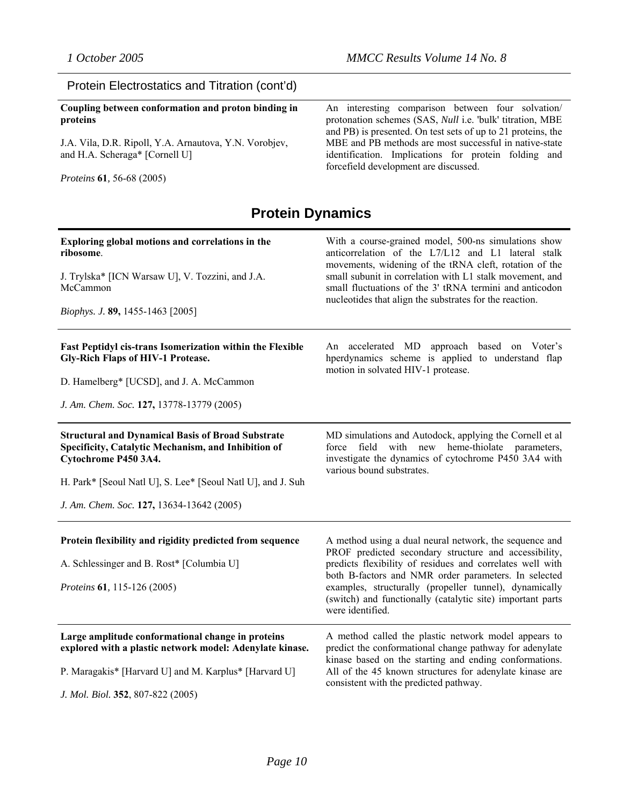### Protein Electrostatics and Titration (cont'd)

**Coupling between conformation and proton binding in proteins**

J.A. Vila, D.R. Ripoll, Y.A. Arnautova, Y.N. Vorobjev, and H.A. Scheraga\* [Cornell U]

*Proteins* **61***,* 56-68 (2005)

An interesting comparison between four solvation/ protonation schemes (SAS, *Null* i.e. 'bulk' titration, MBE and PB) is presented. On test sets of up to 21 proteins, the MBE and PB methods are most successful in native-state identification. Implications for protein folding and forcefield development are discussed.

### **Protein Dynamics**

| Exploring global motions and correlations in the<br>ribosome.<br>J. Trylska* [ICN Warsaw U], V. Tozzini, and J.A.<br>McCammon<br>Biophys. J. 89, 1455-1463 [2005]                                                                                   | With a course-grained model, 500-ns simulations show<br>anticorrelation of the L7/L12 and L1 lateral stalk<br>movements, widening of the tRNA cleft, rotation of the<br>small subunit in correlation with L1 stalk movement, and<br>small fluctuations of the 3' tRNA termini and anticodon<br>nucleotides that align the substrates for the reaction.                           |
|-----------------------------------------------------------------------------------------------------------------------------------------------------------------------------------------------------------------------------------------------------|----------------------------------------------------------------------------------------------------------------------------------------------------------------------------------------------------------------------------------------------------------------------------------------------------------------------------------------------------------------------------------|
| <b>Fast Peptidyl cis-trans Isomerization within the Flexible</b><br><b>Gly-Rich Flaps of HIV-1 Protease.</b><br>D. Hamelberg* [UCSD], and J. A. McCammon<br>J. Am. Chem. Soc. 127, 13778-13779 (2005)                                               | An accelerated MD approach based on Voter's<br>hperdynamics scheme is applied to understand flap<br>motion in solvated HIV-1 protease.                                                                                                                                                                                                                                           |
| <b>Structural and Dynamical Basis of Broad Substrate</b><br>Specificity, Catalytic Mechanism, and Inhibition of<br>Cytochrome P450 3A4.<br>H. Park* [Seoul Natl U], S. Lee* [Seoul Natl U], and J. Suh<br>J. Am. Chem. Soc. 127, 13634-13642 (2005) | MD simulations and Autodock, applying the Cornell et al<br>heme-thiolate<br>with<br>new<br>parameters,<br>force<br>field<br>investigate the dynamics of cytochrome P450 3A4 with<br>various bound substrates.                                                                                                                                                                    |
| Protein flexibility and rigidity predicted from sequence<br>A. Schlessinger and B. Rost* [Columbia U]<br><i>Proteins</i> 61, 115-126 (2005)                                                                                                         | A method using a dual neural network, the sequence and<br>PROF predicted secondary structure and accessibility,<br>predicts flexibility of residues and correlates well with<br>both B-factors and NMR order parameters. In selected<br>examples, structurally (propeller tunnel), dynamically<br>(switch) and functionally (catalytic site) important parts<br>were identified. |
| Large amplitude conformational change in proteins<br>explored with a plastic network model: Adenylate kinase.<br>P. Maragakis* [Harvard U] and M. Karplus* [Harvard U]<br>J. Mol. Biol. 352, 807-822 (2005)                                         | A method called the plastic network model appears to<br>predict the conformational change pathway for adenylate<br>kinase based on the starting and ending conformations.<br>All of the 45 known structures for adenylate kinase are<br>consistent with the predicted pathway.                                                                                                   |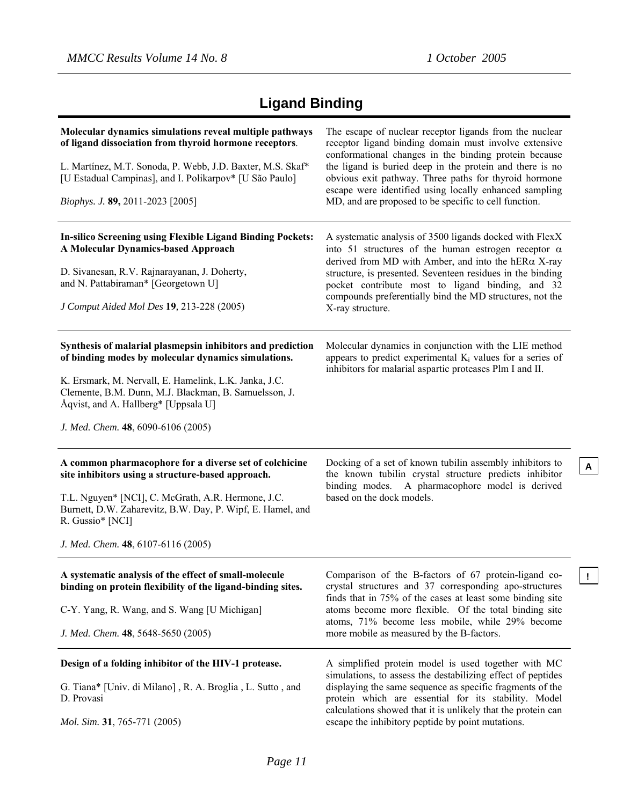**A**

# **Ligand Binding**

| Molecular dynamics simulations reveal multiple pathways<br>of ligand dissociation from thyroid hormone receptors.<br>L. Martínez, M.T. Sonoda, P. Webb, J.D. Baxter, M.S. Skaf*<br>[U Estadual Campinas], and I. Polikarpov* [U São Paulo]<br><i>Biophys. J.</i> 89, 2011-2023 [2005]                             | The escape of nuclear receptor ligands from the nuclear<br>receptor ligand binding domain must involve extensive<br>conformational changes in the binding protein because<br>the ligand is buried deep in the protein and there is no<br>obvious exit pathway. Three paths for thyroid hormone<br>escape were identified using locally enhanced sampling<br>MD, and are proposed to be specific to cell function. |
|-------------------------------------------------------------------------------------------------------------------------------------------------------------------------------------------------------------------------------------------------------------------------------------------------------------------|-------------------------------------------------------------------------------------------------------------------------------------------------------------------------------------------------------------------------------------------------------------------------------------------------------------------------------------------------------------------------------------------------------------------|
| In-silico Screening using Flexible Ligand Binding Pockets:<br><b>A Molecular Dynamics-based Approach</b><br>D. Sivanesan, R.V. Rajnarayanan, J. Doherty,<br>and N. Pattabiraman* [Georgetown U]<br>J Comput Aided Mol Des 19, 213-228 (2005)                                                                      | A systematic analysis of 3500 ligands docked with FlexX<br>into 51 structures of the human estrogen receptor $\alpha$<br>derived from MD with Amber, and into the hER $\alpha$ X-ray<br>structure, is presented. Seventeen residues in the binding<br>pocket contribute most to ligand binding, and 32<br>compounds preferentially bind the MD structures, not the<br>X-ray structure.                            |
| Synthesis of malarial plasmepsin inhibitors and prediction<br>of binding modes by molecular dynamics simulations.<br>K. Ersmark, M. Nervall, E. Hamelink, L.K. Janka, J.C.<br>Clemente, B.M. Dunn, M.J. Blackman, B. Samuelsson, J.<br>Åqvist, and A. Hallberg* [Uppsala U]<br>J. Med. Chem. 48, 6090-6106 (2005) | Molecular dynamics in conjunction with the LIE method<br>appears to predict experimental $K_i$ values for a series of<br>inhibitors for malarial aspartic proteases Plm I and II.                                                                                                                                                                                                                                 |
| A common pharmacophore for a diverse set of colchicine<br>site inhibitors using a structure-based approach.<br>T.L. Nguyen* [NCI], C. McGrath, A.R. Hermone, J.C.<br>Burnett, D.W. Zaharevitz, B.W. Day, P. Wipf, E. Hamel, and<br>R. Gussio* [NCI]<br>J. Med. Chem. 48, 6107-6116 (2005)                         | Docking of a set of known tubilin assembly inhibitors to<br>the known tubilin crystal structure predicts inhibitor<br>A pharmacophore model is derived<br>binding modes.<br>based on the dock models.                                                                                                                                                                                                             |
| A systematic analysis of the effect of small-molecule<br>binding on protein flexibility of the ligand-binding sites.<br>C-Y. Yang, R. Wang, and S. Wang [U Michigan]<br>J. Med. Chem. 48, 5648-5650 (2005)                                                                                                        | Comparison of the B-factors of 67 protein-ligand co-<br>crystal structures and 37 corresponding apo-structures<br>finds that in 75% of the cases at least some binding site<br>atoms become more flexible. Of the total binding site<br>atoms, 71% become less mobile, while 29% become<br>more mobile as measured by the B-factors.                                                                              |
| Design of a folding inhibitor of the HIV-1 protease.<br>G. Tiana* [Univ. di Milano], R. A. Broglia, L. Sutto, and<br>D. Provasi<br><i>Mol. Sim.</i> 31, 765-771 (2005)                                                                                                                                            | A simplified protein model is used together with MC<br>simulations, to assess the destabilizing effect of peptides<br>displaying the same sequence as specific fragments of the<br>protein which are essential for its stability. Model<br>calculations showed that it is unlikely that the protein can<br>escape the inhibitory peptide by point mutations.                                                      |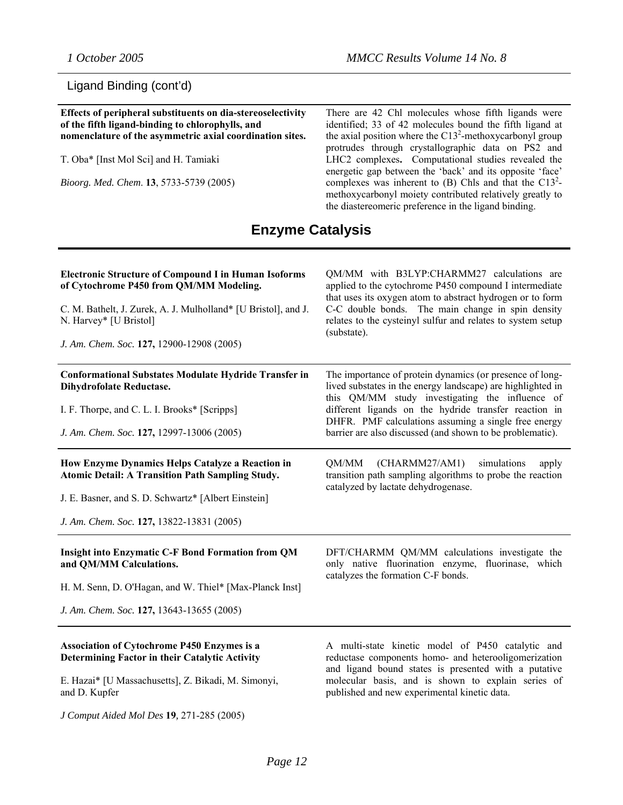### Ligand Binding (cont'd)

**Effects of peripheral substituents on dia-stereoselectivity of the fifth ligand-binding to chlorophylls, and nomenclature of the asymmetric axial coordination sites.**  T. Oba\* [Inst Mol Sci] and H. Tamiaki *Bioorg. Med. Chem*. **13**, 5733-5739 (2005) There are 42 Chl molecules whose fifth ligands were identified; 33 of 42 molecules bound the fifth ligand at the axial position where the  $C13<sup>2</sup>$ -methoxycarbonyl group protrudes through crystallographic data on PS2 and LHC2 complexes**.** Computational studies revealed the energetic gap between the 'back' and its opposite 'face' complexes was inherent to  $(B)$  Chls and that the C13<sup>2</sup>methoxycarbonyl moiety contributed relatively greatly to the diastereomeric preference in the ligand binding. **Enzyme Catalysis** 

| <b>Electronic Structure of Compound I in Human Isoforms</b><br>of Cytochrome P450 from QM/MM Modeling.<br>C. M. Bathelt, J. Zurek, A. J. Mulholland* [U Bristol], and J.<br>N. Harvey* [U Bristol]<br>J. Am. Chem. Soc. 127, 12900-12908 (2005) | QM/MM with B3LYP:CHARMM27 calculations are<br>applied to the cytochrome P450 compound I intermediate<br>that uses its oxygen atom to abstract hydrogen or to form<br>C-C double bonds. The main change in spin density<br>relates to the cysteinyl sulfur and relates to system setup<br>(substate).                                                     |
|-------------------------------------------------------------------------------------------------------------------------------------------------------------------------------------------------------------------------------------------------|----------------------------------------------------------------------------------------------------------------------------------------------------------------------------------------------------------------------------------------------------------------------------------------------------------------------------------------------------------|
| <b>Conformational Substates Modulate Hydride Transfer in</b><br><b>Dihydrofolate Reductase.</b><br>I. F. Thorpe, and C. L. I. Brooks* [Scripps]<br>J. Am. Chem. Soc. 127, 12997-13006 (2005)                                                    | The importance of protein dynamics (or presence of long-<br>lived substates in the energy landscape) are highlighted in<br>this QM/MM study investigating the influence of<br>different ligands on the hydride transfer reaction in<br>DHFR. PMF calculations assuming a single free energy<br>barrier are also discussed (and shown to be problematic). |
| How Enzyme Dynamics Helps Catalyze a Reaction in<br><b>Atomic Detail: A Transition Path Sampling Study.</b><br>J. E. Basner, and S. D. Schwartz* [Albert Einstein]<br>J. Am. Chem. Soc. 127, 13822-13831 (2005)                                 | (CHARMM27/AM1)<br>simulations<br>QM/MM<br>apply<br>transition path sampling algorithms to probe the reaction<br>catalyzed by lactate dehydrogenase.                                                                                                                                                                                                      |
| <b>Insight into Enzymatic C-F Bond Formation from QM</b><br>and QM/MM Calculations.<br>H. M. Senn, D. O'Hagan, and W. Thiel* [Max-Planck Inst]<br>J. Am. Chem. Soc. 127, 13643-13655 (2005)                                                     | DFT/CHARMM QM/MM calculations investigate the<br>only native fluorination enzyme, fluorinase, which<br>catalyzes the formation C-F bonds.                                                                                                                                                                                                                |
| <b>Association of Cytochrome P450 Enzymes is a</b>                                                                                                                                                                                              | A multi-state kinetic model of P450 catalytic and                                                                                                                                                                                                                                                                                                        |

**Determining Factor in their Catalytic Activity**

E. Hazai\* [U Massachusetts], Z. Bikadi, M. Simonyi, and D. Kupfer

*J Comput Aided Mol Des* **19***,* 271-285 (2005)

A multi-state kinetic model of P450 catalytic and reductase components homo- and heterooligomerization and ligand bound states is presented with a putative molecular basis, and is shown to explain series of published and new experimental kinetic data.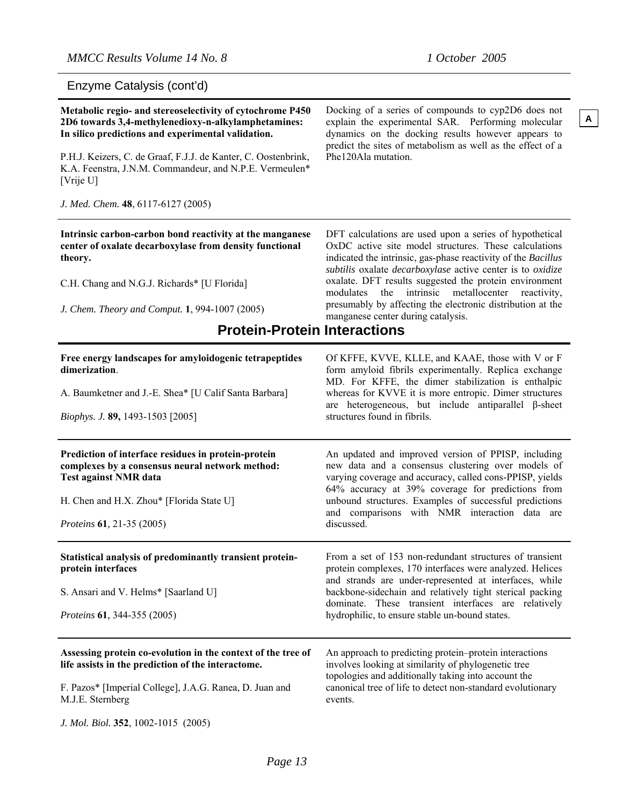Enzyme Catalysis (cont'd)

| Metabolic regio- and stereoselectivity of cytochrome P450<br>2D6 towards 3,4-methylenedioxy-n-alkylamphetamines:<br>In silico predictions and experimental validation.<br>P.H.J. Keizers, C. de Graaf, F.J.J. de Kanter, C. Oostenbrink,<br>K.A. Feenstra, J.N.M. Commandeur, and N.P.E. Vermeulen*<br>[Vrije U]<br>J. Med. Chem. 48, 6117-6127 (2005) | Docking of a series of compounds to cyp2D6 does not<br>explain the experimental SAR. Performing molecular<br>dynamics on the docking results however appears to<br>predict the sites of metabolism as well as the effect of a<br>Phe120Ala mutation.                                                                                                                                                                                                                               |
|--------------------------------------------------------------------------------------------------------------------------------------------------------------------------------------------------------------------------------------------------------------------------------------------------------------------------------------------------------|------------------------------------------------------------------------------------------------------------------------------------------------------------------------------------------------------------------------------------------------------------------------------------------------------------------------------------------------------------------------------------------------------------------------------------------------------------------------------------|
| Intrinsic carbon-carbon bond reactivity at the manganese<br>center of oxalate decarboxylase from density functional<br>theory.<br>C.H. Chang and N.G.J. Richards* [U Florida]<br>J. Chem. Theory and Comput. 1, 994-1007 (2005)<br><b>Protein-Protein Interactions</b>                                                                                 | DFT calculations are used upon a series of hypothetical<br>OxDC active site model structures. These calculations<br>indicated the intrinsic, gas-phase reactivity of the Bacillus<br>subtilis oxalate <i>decarboxylase</i> active center is to oxidize<br>oxalate. DFT results suggested the protein environment<br>the<br>intrinsic metallocenter<br>modulates<br>reactivity,<br>presumably by affecting the electronic distribution at the<br>manganese center during catalysis. |
| Free energy landscapes for amyloidogenic tetrapeptides<br>dimerization.<br>A. Baumketner and J.-E. Shea* [U Calif Santa Barbara]<br>Biophys. J. 89, 1493-1503 [2005]                                                                                                                                                                                   | Of KFFE, KVVE, KLLE, and KAAE, those with V or F<br>form amyloid fibrils experimentally. Replica exchange<br>MD. For KFFE, the dimer stabilization is enthalpic<br>whereas for KVVE it is more entropic. Dimer structures<br>are heterogeneous, but include antiparallel $\beta$ -sheet<br>structures found in fibrils.                                                                                                                                                            |
| Prediction of interface residues in protein-protein<br>complexes by a consensus neural network method:<br><b>Test against NMR data</b><br>H. Chen and H.X. Zhou* [Florida State U]<br>Proteins 61, 21-35 (2005)                                                                                                                                        | An updated and improved version of PPISP, including<br>new data and a consensus clustering over models of<br>varying coverage and accuracy, called cons-PPISP, yields<br>64% accuracy at 39% coverage for predictions from<br>unbound structures. Examples of successful predictions<br>and comparisons with NMR interaction data are<br>discussed.                                                                                                                                |
| Statistical analysis of predominantly transient protein-<br>protein interfaces<br>S. Ansari and V. Helms* [Saarland U]<br>Proteins 61, 344-355 (2005)                                                                                                                                                                                                  | From a set of 153 non-redundant structures of transient<br>protein complexes, 170 interfaces were analyzed. Helices<br>and strands are under-represented at interfaces, while<br>backbone-sidechain and relatively tight sterical packing<br>dominate. These transient interfaces are relatively<br>hydrophilic, to ensure stable un-bound states.                                                                                                                                 |
| Assessing protein co-evolution in the context of the tree of<br>life assists in the prediction of the interactome.<br>F. Pazos* [Imperial College], J.A.G. Ranea, D. Juan and<br>M.J.E. Sternberg<br>J. Mol. Biol. 352, 1002-1015 (2005)                                                                                                               | An approach to predicting protein-protein interactions<br>involves looking at similarity of phylogenetic tree<br>topologies and additionally taking into account the<br>canonical tree of life to detect non-standard evolutionary<br>events.                                                                                                                                                                                                                                      |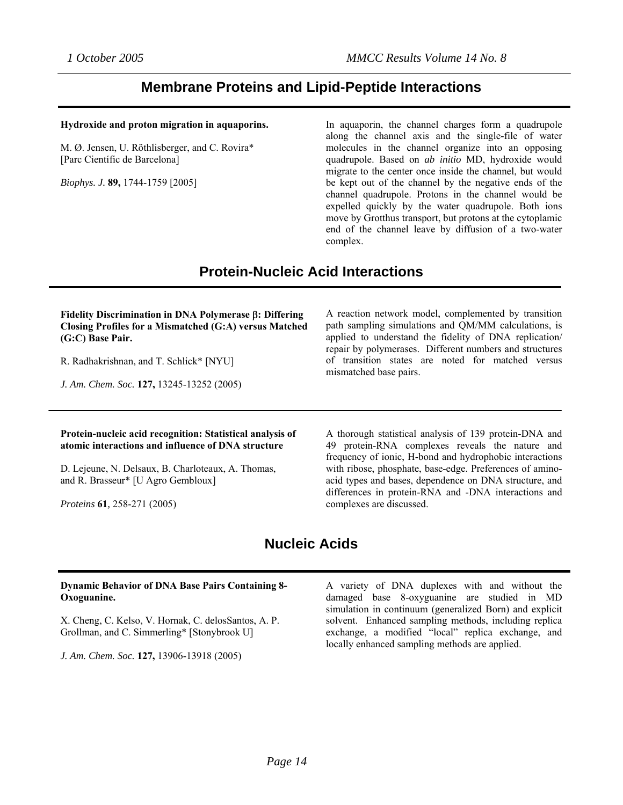### **Membrane Proteins and Lipid-Peptide Interactions**

#### **Hydroxide and proton migration in aquaporins.**

M. Ø. Jensen, U. Röthlisberger, and C. Rovira\* [Parc Científic de Barcelona]

*Biophys. J.* **89,** 1744-1759 [2005]

In aquaporin, the channel charges form a quadrupole along the channel axis and the single-file of water molecules in the channel organize into an opposing quadrupole. Based on *ab initio* MD, hydroxide would migrate to the center once inside the channel, but would be kept out of the channel by the negative ends of the channel quadrupole. Protons in the channel would be expelled quickly by the water quadrupole. Both ions move by Grotthus transport, but protons at the cytoplamic end of the channel leave by diffusion of a two-water complex.

## **Protein-Nucleic Acid Interactions**

#### **Fidelity Discrimination in DNA Polymerase** β**: Differing Closing Profiles for a Mismatched (G:A) versus Matched (G:C) Base Pair.**

R. Radhakrishnan, and T. Schlick\* [NYU]

*J. Am. Chem. Soc.* **127,** 13245-13252 (2005)

A reaction network model, complemented by transition path sampling simulations and QM/MM calculations, is applied to understand the fidelity of DNA replication/ repair by polymerases. Different numbers and structures of transition states are noted for matched versus mismatched base pairs.

#### **Protein-nucleic acid recognition: Statistical analysis of atomic interactions and influence of DNA structure**

D. Lejeune, N. Delsaux, B. Charloteaux, A. Thomas, and R. Brasseur\* [U Agro Gembloux]

*Proteins* **61***,* 258-271 (2005)

A thorough statistical analysis of 139 protein-DNA and 49 protein-RNA complexes reveals the nature and frequency of ionic, H-bond and hydrophobic interactions with ribose, phosphate, base-edge. Preferences of aminoacid types and bases, dependence on DNA structure, and differences in protein-RNA and -DNA interactions and complexes are discussed.

## **Nucleic Acids**

#### **Dynamic Behavior of DNA Base Pairs Containing 8- Oxoguanine.**

X. Cheng, C. Kelso, V. Hornak, C. delosSantos, A. P. Grollman, and C. Simmerling\* [Stonybrook U]

*J. Am. Chem. Soc.* **127,** 13906-13918 (2005)

A variety of DNA duplexes with and without the damaged base 8-oxyguanine are studied in MD simulation in continuum (generalized Born) and explicit solvent. Enhanced sampling methods, including replica exchange, a modified "local" replica exchange, and locally enhanced sampling methods are applied.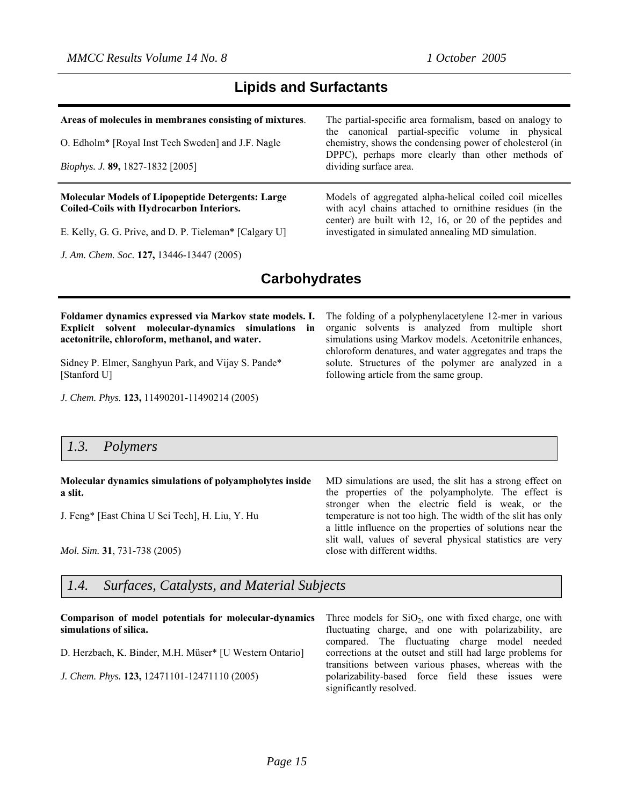### **Lipids and Surfactants**

#### **Areas of molecules in membranes consisting of mixtures**.

O. Edholm\* [Royal Inst Tech Sweden] and J.F. Nagle

*Biophys. J.* **89,** 1827-1832 [2005]

#### **Molecular Models of Lipopeptide Detergents: Large Coiled-Coils with Hydrocarbon Interiors.**

E. Kelly, G. G. Prive, and D. P. Tieleman\* [Calgary U]

*J. Am. Chem. Soc.* **127,** 13446-13447 (2005)

The partial-specific area formalism, based on analogy to the canonical partial-specific volume in physical chemistry, shows the condensing power of cholesterol (in DPPC), perhaps more clearly than other methods of dividing surface area.

Models of aggregated alpha-helical coiled coil micelles with acyl chains attached to ornithine residues (in the center) are built with 12, 16, or 20 of the peptides and investigated in simulated annealing MD simulation.

### **Carbohydrates**

**Foldamer dynamics expressed via Markov state models. I. Explicit solvent molecular-dynamics simulations in acetonitrile, chloroform, methanol, and water.** 

[Sidney P. Elmer,](http://scitation.aip.org.erl.lib.byu.edu/vsearch/servlet/VerityServlet?KEY=ALL&possible1=Elmer%2C+Sidney+P.&possible1zone=author&maxdisp=25&smode=strresults&aqs=true) [Sanghyun Park,](http://scitation.aip.org.erl.lib.byu.edu/vsearch/servlet/VerityServlet?KEY=ALL&possible1=Park%2C+Sanghyun&possible1zone=author&maxdisp=25&smode=strresults&aqs=true) and [Vijay S. Pande](http://scitation.aip.org.erl.lib.byu.edu/vsearch/servlet/VerityServlet?KEY=ALL&possible1=Pande%2C+Vijay+S.&possible1zone=author&maxdisp=25&smode=strresults&aqs=true)\* [Stanford U]

*J. Chem. Phys.* **123,** 11490201-11490214 (2005)

The folding of a polyphenylacetylene 12-mer in various organic solvents is analyzed from multiple short simulations using Markov models. Acetonitrile enhances, chloroform denatures, and water aggregates and traps the solute. Structures of the polymer are analyzed in a following article from the same group.

### *1.3. Polymers*

#### **Molecular dynamics simulations of polyampholytes inside a slit.**

J. Feng\* [East China U Sci Tech], H. Liu, Y. Hu

*Mol. Sim.* **31**, 731-738 (2005)

MD simulations are used, the slit has a strong effect on the properties of the polyampholyte. The effect is stronger when the electric field is weak, or the temperature is not too high. The width of the slit has only a little influence on the properties of solutions near the slit wall, values of several physical statistics are very close with different widths.

### *1.4. Surfaces, Catalysts, and Material Subjects*

**Comparison of model potentials for molecular-dynamics simulations of silica.** [D. Herzbach,](http://scitation.aip.org.erl.lib.byu.edu/vsearch/servlet/VerityServlet?KEY=ALL&possible1=Herzbach%2C+Daniel&possible1zone=author&maxdisp=25&smode=strresults&aqs=true) [K. Binder](http://scitation.aip.org.erl.lib.byu.edu/vsearch/servlet/VerityServlet?KEY=ALL&possible1=Binder%2C+Kurt&possible1zone=author&maxdisp=25&smode=strresults&aqs=true), [M.H. Müser\\*](http://scitation.aip.org.erl.lib.byu.edu/vsearch/servlet/VerityServlet?KEY=ALL&possible1=Muser%2C+Martin+H.&possible1zone=author&maxdisp=25&smode=strresults&aqs=true) [U Western Ontario] *J. Chem. Phys.* **123,** 12471101-12471110 (2005) Three models for  $SiO<sub>2</sub>$ , one with fixed charge, one with fluctuating charge, and one with polarizability, are compared. The fluctuating charge model needed corrections at the outset and still had large problems for transitions between various phases, whereas with the polarizability-based force field these issues were significantly resolved.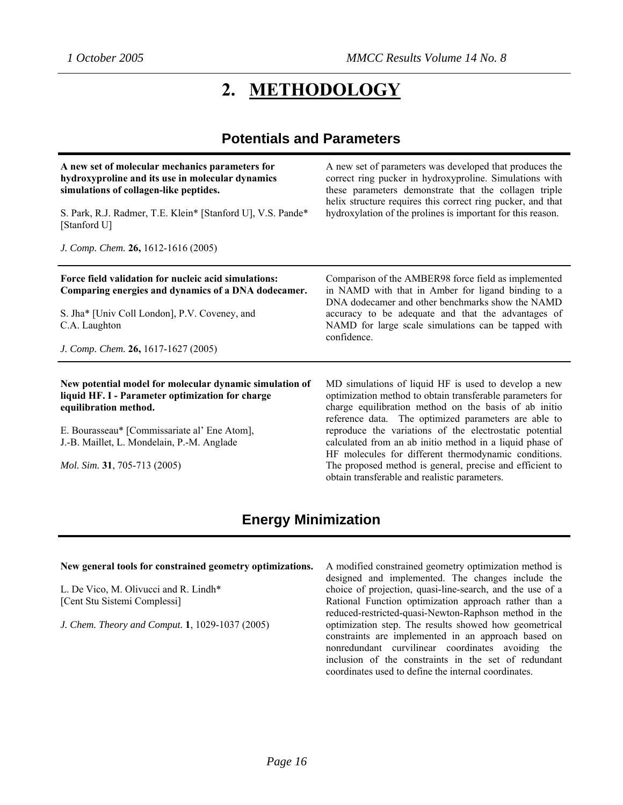# **2. METHODOLOGY**

### **Potentials and Parameters**

| A new set of molecular mechanics parameters for<br>hydroxyproline and its use in molecular dynamics<br>simulations of collagen-like peptides. | A new set of parameters was developed that produces the<br>correct ring pucker in hydroxyproline. Simulations with<br>these parameters demonstrate that the collagen triple<br>helix structure requires this correct ring pucker, and that |
|-----------------------------------------------------------------------------------------------------------------------------------------------|--------------------------------------------------------------------------------------------------------------------------------------------------------------------------------------------------------------------------------------------|
| S. Park, R.J. Radmer, T.E. Klein* [Stanford U], V.S. Pande*<br>[Stanford U]                                                                   | hydroxylation of the prolines is important for this reason.                                                                                                                                                                                |
| J. Comp. Chem. $26, 1612 - 1616$ (2005)                                                                                                       |                                                                                                                                                                                                                                            |
| Force field validation for nucleic acid simulations:<br>Comparing energies and dynamics of a DNA dodecamer.                                   | Comparison of the AMBER98 force field as implemented<br>in NAMD with that in Amber for ligand binding to a<br>DNA dodecamer and other benchmarks show the NAMD                                                                             |
| S. Jha* [Univ Coll London], P.V. Coveney, and<br>C.A. Laughton                                                                                | accuracy to be adequate and that the advantages of<br>NAMD for large scale simulations can be tapped with<br>confidence.                                                                                                                   |
| J. Comp. Chem. 26, 1617-1627 (2005)                                                                                                           |                                                                                                                                                                                                                                            |
| New potential model for molecular dynamic simulation of<br>liquid HF. I - Parameter optimization for charge<br>equilibration method.          | MD simulations of liquid HF is used to develop a new<br>optimization method to obtain transferable parameters for<br>charge equilibration method on the basis of ab initio<br>reference data. The optimized parameters are able to         |
| E. Bourasseau* [Commissariate al' Ene Atom],<br>J.-B. Maillet, L. Mondelain, P.-M. Anglade                                                    | reproduce the variations of the electrostatic potential<br>calculated from an ab initio method in a liquid phase of<br>HF molecules for different thermodynamic conditions.                                                                |
| Mol. Sim. 31, 705-713 (2005)                                                                                                                  | The proposed method is general, precise and efficient to                                                                                                                                                                                   |

### **Energy Minimization**

#### **New general tools for constrained geometry optimizations.**

L. De Vico, M. Olivucci and R. Lindh\* [Cent Stu Sistemi Complessi]

*J. Chem. Theory and Comput.* **1**, 1029-1037 (2005)

A modified constrained geometry optimization method is designed and implemented. The changes include the choice of projection, quasi-line-search, and the use of a Rational Function optimization approach rather than a reduced-restricted-quasi-Newton-Raphson method in the optimization step. The results showed how geometrical constraints are implemented in an approach based on nonredundant curvilinear coordinates avoiding the inclusion of the constraints in the set of redundant coordinates used to define the internal coordinates.

obtain transferable and realistic parameters.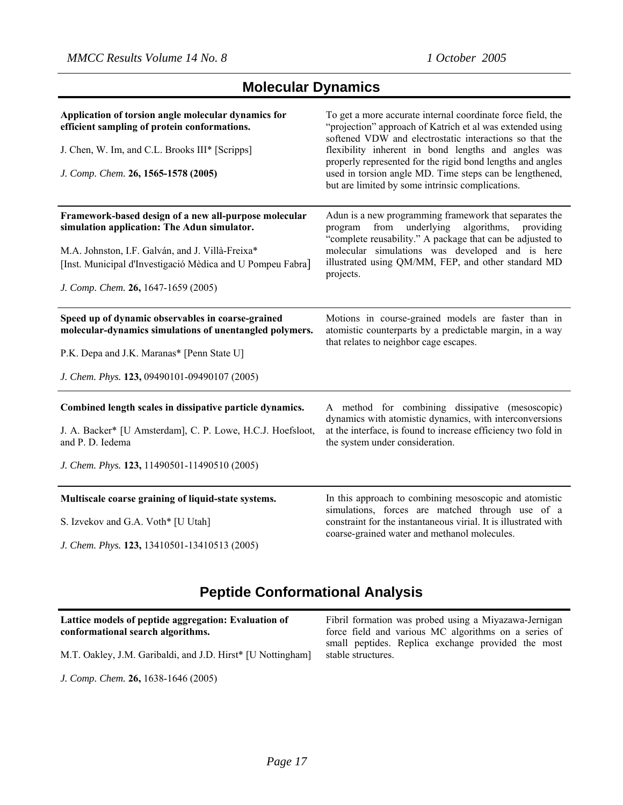| <b>Molecular Dynamics</b> |  |
|---------------------------|--|
|---------------------------|--|

| Application of torsion angle molecular dynamics for<br>efficient sampling of protein conformations.<br>J. Chen, W. Im, and C.L. Brooks III* [Scripps]<br>J. Comp. Chem. 26, 1565-1578 (2005)                                                                  | To get a more accurate internal coordinate force field, the<br>"projection" approach of Katrich et al was extended using<br>softened VDW and electrostatic interactions so that the<br>flexibility inherent in bond lengths and angles was<br>properly represented for the rigid bond lengths and angles<br>used in torsion angle MD. Time steps can be lengthened,<br>but are limited by some intrinsic complications. |
|---------------------------------------------------------------------------------------------------------------------------------------------------------------------------------------------------------------------------------------------------------------|-------------------------------------------------------------------------------------------------------------------------------------------------------------------------------------------------------------------------------------------------------------------------------------------------------------------------------------------------------------------------------------------------------------------------|
| Framework-based design of a new all-purpose molecular<br>simulation application: The Adun simulator.<br>M.A. Johnston, I.F. Galván, and J. Villà-Freixa*<br>[Inst. Municipal d'Investigació Mèdica and U Pompeu Fabra]<br>J. Comp. Chem. 26, 1647-1659 (2005) | Adun is a new programming framework that separates the<br>underlying<br>algorithms, providing<br>from<br>program<br>"complete reusability." A package that can be adjusted to<br>molecular simulations was developed and is here<br>illustrated using QM/MM, FEP, and other standard MD<br>projects.                                                                                                                    |
| Speed up of dynamic observables in coarse-grained<br>molecular-dynamics simulations of unentangled polymers.<br>P.K. Depa and J.K. Maranas* [Penn State U]<br>J. Chem. Phys. 123, 09490101-09490107 (2005)                                                    | Motions in course-grained models are faster than in<br>atomistic counterparts by a predictable margin, in a way<br>that relates to neighbor cage escapes.                                                                                                                                                                                                                                                               |
| Combined length scales in dissipative particle dynamics.<br>J. A. Backer* [U Amsterdam], C. P. Lowe, H.C.J. Hoefsloot,<br>and P. D. Iedema<br>J. Chem. Phys. 123, 11490501-11490510 (2005)                                                                    | A method for combining dissipative (mesoscopic)<br>dynamics with atomistic dynamics, with interconversions<br>at the interface, is found to increase efficiency two fold in<br>the system under consideration.                                                                                                                                                                                                          |
| Multiscale coarse graining of liquid-state systems.<br>S. Izvekov and G.A. Voth* [U Utah]<br>J. Chem. Phys. 123, 13410501-13410513 (2005)                                                                                                                     | In this approach to combining mesoscopic and atomistic<br>simulations, forces are matched through use of a<br>constraint for the instantaneous virial. It is illustrated with<br>coarse-grained water and methanol molecules.                                                                                                                                                                                           |

## **Peptide Conformational Analysis**

**Lattice models of peptide aggregation: Evaluation of conformational search algorithms.**  M.T. Oakley, J.M. Garibaldi, and J.D. Hirst\* [U Nottingham] Fibril formation was probed using a Miyazawa-Jernigan force field and various MC algorithms on a series of small peptides. Replica exchange provided the most stable structures.

*J. Comp. Chem.* **26,** 1638-1646 (2005)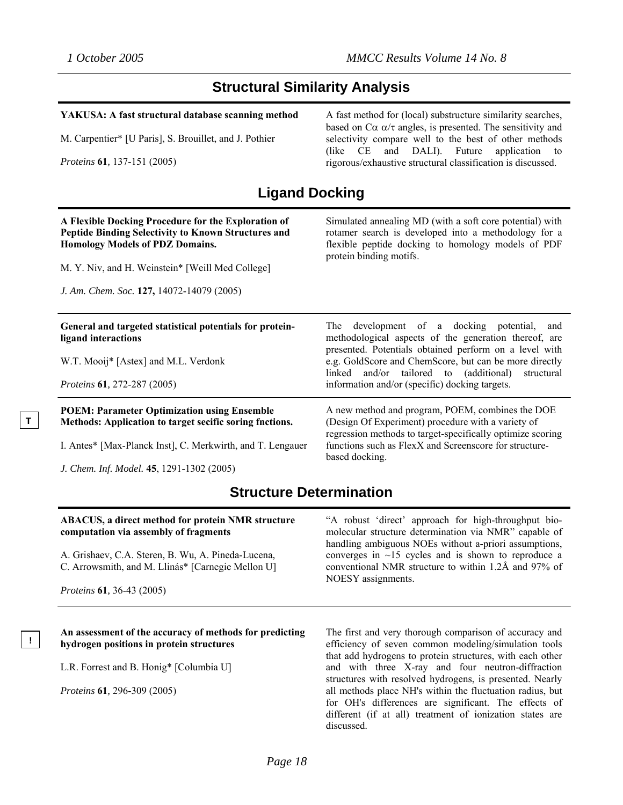### **Structural Similarity Analysis**

#### **YAKUSA: A fast structural database scanning method**

M. Carpentier\* [U Paris], S. Brouillet, and J. Pothier

*Proteins* **61***,* 137-151 (2005)

**T** 

**!** 

A fast method for (local) substructure similarity searches, based on  $C\alpha \alpha/\tau$  angles, is presented. The sensitivity and selectivity compare well to the best of other methods (like CE and DALI). Future application to rigorous/exhaustive structural classification is discussed.

### **Ligand Docking**

| A Flexible Docking Procedure for the Exploration of<br>Peptide Binding Selectivity to Known Structures and<br>Homology Models of PDZ Domains.<br>M. Y. Niv, and H. Weinstein* [Weill Med College]<br>J. Am. Chem. Soc. 127, 14072-14079 (2005) | Simulated annealing MD (with a soft core potential) with<br>rotamer search is developed into a methodology for a<br>flexible peptide docking to homology models of PDF<br>protein binding motifs.                                                |
|------------------------------------------------------------------------------------------------------------------------------------------------------------------------------------------------------------------------------------------------|--------------------------------------------------------------------------------------------------------------------------------------------------------------------------------------------------------------------------------------------------|
| General and targeted statistical potentials for protein-<br>ligand interactions                                                                                                                                                                | The development of a docking potential, and<br>methodological aspects of the generation thereof, are<br>presented. Potentials obtained perform on a level with                                                                                   |
| W.T. Mooij* [Astex] and M.L. Verdonk<br><i>Proteins</i> <b>61</b> , 272-287 (2005)                                                                                                                                                             | e.g. GoldScore and ChemScore, but can be more directly<br>linked and/or tailored to (additional)<br>structural<br>information and/or (specific) docking targets.                                                                                 |
| <b>POEM: Parameter Optimization using Ensemble</b><br>Methods: Application to target secific soring fnctions.                                                                                                                                  | A new method and program, POEM, combines the DOE<br>(Design Of Experiment) procedure with a variety of<br>regression methods to target-specifically optimize scoring<br>functions such as FlexX and Screenscore for structure-<br>based docking. |
| I. Antes* [Max-Planck Inst], C. Merkwirth, and T. Lengauer                                                                                                                                                                                     |                                                                                                                                                                                                                                                  |
| J. Chem. Inf. Model. 45, 1291-1302 (2005)                                                                                                                                                                                                      |                                                                                                                                                                                                                                                  |

### **Structure Determination**

| <b>ABACUS, a direct method for protein NMR structure</b><br>computation via assembly of fragments       | "A robust 'direct' approach for high-throughput bio-<br>molecular structure determination via NMR" capable of<br>handling ambiguous NOEs without a-priori assumptions, |
|---------------------------------------------------------------------------------------------------------|------------------------------------------------------------------------------------------------------------------------------------------------------------------------|
| A. Grishaev, C.A. Steren, B. Wu, A. Pineda-Lucena,<br>C. Arrowsmith, and M. Llinás* [Carnegie Mellon U] | converges in $\sim$ 15 cycles and is shown to reproduce a<br>conventional NMR structure to within 1.2Å and 97% of<br>NOESY assignments.                                |
| <i>Proteins</i> <b>61</b> , 36-43 (2005)                                                                |                                                                                                                                                                        |

#### **An assessment of the accuracy of methods for predicting hydrogen positions in protein structures**

L.R. Forrest and B. Honig\* [Columbia U]

*Proteins* **61***,* 296-309 (2005)

The first and very thorough comparison of accuracy and efficiency of seven common modeling/simulation tools that add hydrogens to protein structures, with each other and with three X-ray and four neutron-diffraction structures with resolved hydrogens, is presented. Nearly all methods place NH's within the fluctuation radius, but for OH's differences are significant. The effects of different (if at all) treatment of ionization states are discussed.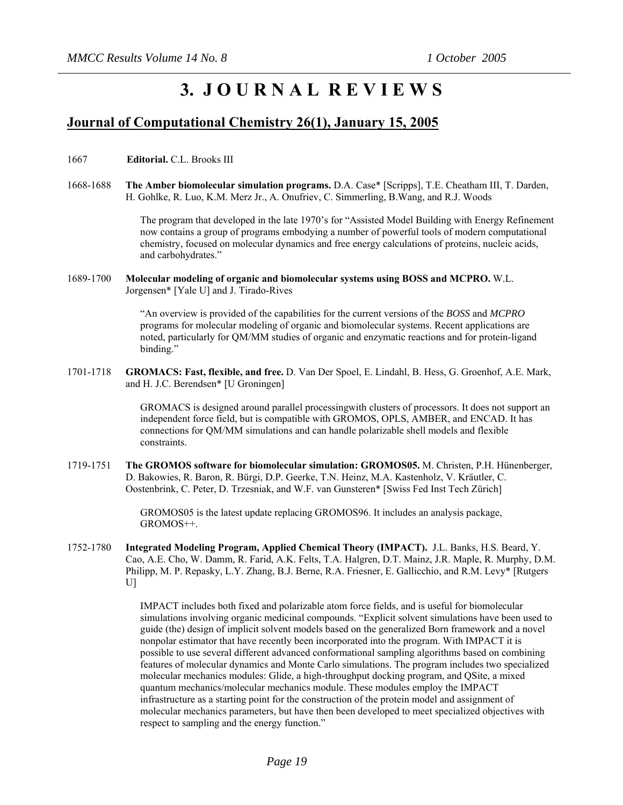# **3. J O U R N A L R E V I E W S**

### **Journal of Computational Chemistry 26(1), January 15, 2005**

1667 **Editorial.** C.L. Brooks III

1668-1688 **The Amber biomolecular simulation programs.** D.A. Case\* [Scripps], T.E. Cheatham III, T. Darden, H. Gohlke, R. Luo, K.M. Merz Jr., A. Onufriev, C. Simmerling, B.Wang, and R.J. Woods

> The program that developed in the late 1970's for "Assisted Model Building with Energy Refinement now contains a group of programs embodying a number of powerful tools of modern computational chemistry, focused on molecular dynamics and free energy calculations of proteins, nucleic acids, and carbohydrates."

1689-1700 **Molecular modeling of organic and biomolecular systems using BOSS and MCPRO.** W.L. Jorgensen\* [Yale U] and J. Tirado-Rives

> "An overview is provided of the capabilities for the current versions of the *BOSS* and *MCPRO* programs for molecular modeling of organic and biomolecular systems. Recent applications are noted, particularly for QM/MM studies of organic and enzymatic reactions and for protein-ligand binding."

1701-1718 **GROMACS: Fast, flexible, and free.** D. Van Der Spoel, E. Lindahl, B. Hess, G. Groenhof, A.E. Mark, and H. J.C. Berendsen\* [U Groningen]

> GROMACS is designed around parallel processingwith clusters of processors. It does not support an independent force field, but is compatible with GROMOS, OPLS, AMBER, and ENCAD. It has connections for QM/MM simulations and can handle polarizable shell models and flexible constraints.

1719-1751 **The GROMOS software for biomolecular simulation: GROMOS05.** M. Christen, P.H. Hünenberger, D. Bakowies, R. Baron, R. Bürgi, D.P. Geerke, T.N. Heinz, M.A. Kastenholz, V. Kräutler, C. Oostenbrink, C. Peter, D. Trzesniak, and W.F. van Gunsteren\* [Swiss Fed Inst Tech Zürich]

> GROMOS05 is the latest update replacing GROMOS96. It includes an analysis package, GROMOS++.

1752-1780 **Integrated Modeling Program, Applied Chemical Theory (IMPACT).** J.L. Banks, H.S. Beard, Y. Cao, A.E. Cho, W. Damm, R. Farid, A.K. Felts, T.A. Halgren, D.T. Mainz, J.R. Maple, R. Murphy, D.M. Philipp, M. P. Repasky, L.Y. Zhang, B.J. Berne, R.A. Friesner, E. Gallicchio, and R.M. Levy\* [Rutgers  $U$ ]

> IMPACT includes both fixed and polarizable atom force fields, and is useful for biomolecular simulations involving organic medicinal compounds. "Explicit solvent simulations have been used to guide (the) design of implicit solvent models based on the generalized Born framework and a novel nonpolar estimator that have recently been incorporated into the program. With IMPACT it is possible to use several different advanced conformational sampling algorithms based on combining features of molecular dynamics and Monte Carlo simulations. The program includes two specialized molecular mechanics modules: Glide, a high-throughput docking program, and QSite, a mixed quantum mechanics/molecular mechanics module. These modules employ the IMPACT infrastructure as a starting point for the construction of the protein model and assignment of molecular mechanics parameters, but have then been developed to meet specialized objectives with respect to sampling and the energy function."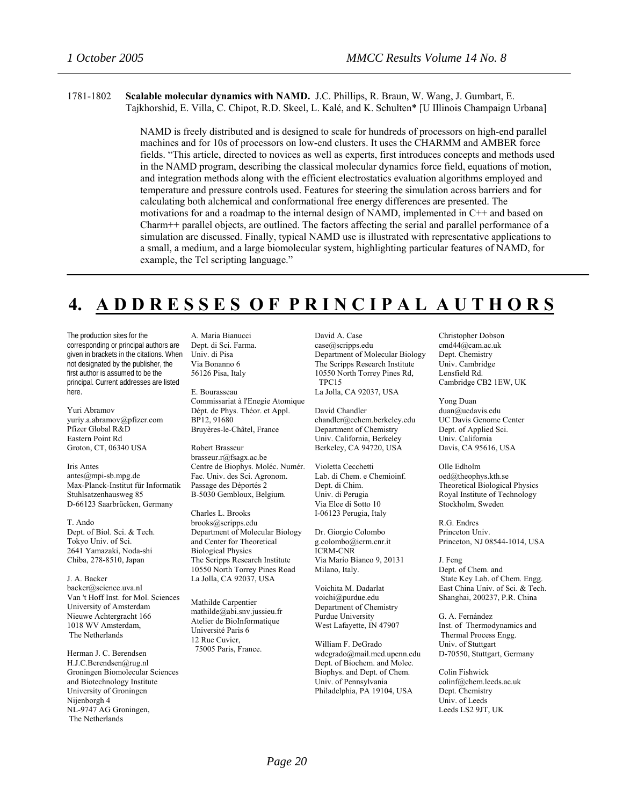1781-1802 **Scalable molecular dynamics with NAMD.** J.C. Phillips, R. Braun, W. Wang, J. Gumbart, E. Tajkhorshid, E. Villa, C. Chipot, R.D. Skeel, L. Kalé, and K. Schulten\* [U Illinois Champaign Urbana]

> NAMD is freely distributed and is designed to scale for hundreds of processors on high-end parallel machines and for 10s of processors on low-end clusters. It uses the CHARMM and AMBER force fields. "This article, directed to novices as well as experts, first introduces concepts and methods used in the NAMD program, describing the classical molecular dynamics force field, equations of motion, and integration methods along with the efficient electrostatics evaluation algorithms employed and temperature and pressure controls used. Features for steering the simulation across barriers and for calculating both alchemical and conformational free energy differences are presented. The motivations for and a roadmap to the internal design of NAMD, implemented in C++ and based on Charm++ parallel objects, are outlined. The factors affecting the serial and parallel performance of a simulation are discussed. Finally, typical NAMD use is illustrated with representative applications to a small, a medium, and a large biomolecular system, highlighting particular features of NAMD, for example, the Tcl scripting language."

# **4. A D D R E S S E S O F P R I N C I P A L A U T H O R S**

The production sites for the corresponding or principal authors are given in brackets in the citations. When not designated by the publisher, the first author is assumed to be the principal. Current addresses are listed here.

Yuri Abramov yuriy.a.abramov@pfizer.com Pfizer Global R&D Eastern Point Rd Groton, CT, 06340 USA

Iris Antes antes@mpi-sb.mpg.de Max-Planck-Institut für Informatik Stuhlsatzenhausweg 85 D-66123 Saarbrücken, Germany

T. Ando Dept. of Biol. Sci. & Tech. Tokyo Univ. of Sci. 2641 Yamazaki, Noda-shi Chiba, 278-8510, Japan

[J. A. Backer](http://scitation.aip.org.erl.lib.byu.edu/vsearch/servlet/VerityServlet?KEY=ALL&possible1=Backer%2C+J.+A.&possible1zone=author&maxdisp=25&smode=strresults&aqs=true) backer@science.uva.nl Van 't Hoff Inst. for Mol. Sciences University of Amsterdam Nieuwe Achtergracht 166 1018 WV Amsterdam, The Netherlands

Herman J. C. Berendsen [H.J.C.Berendsen@rug.nl](mailto:H.J.C.Berendsen@rug.nl) Groningen Biomolecular Sciences and Biotechnology Institute University of Groningen Nijenborgh 4 NL-9747 AG Groningen, The Netherlands

A. Maria Bianucci Dept. di Sci. Farma. Univ. di Pisa Via Bonanno 6 56126 Pisa, Italy

E. Bourasseau Commissariat à l'Enegie Atomique Dépt. de Phys. Théor. et Appl. BP12, 91680 Bruyères-le-Châtel, France

Robert Brasseur brasseur.r@fsagx.ac.be Centre de Biophys. Moléc. Numér. Fac. Univ. des Sci. Agronom. Passage des Déportés 2 B-5030 Gembloux, Belgium.

Charles L. Brooks [brooks@scripps.edu](mailto:brooks@scripps.edu) Department of Molecular Biology and Center for Theoretical Biological Physics The Scripps Research Institute 10550 North Torrey Pines Road La Jolla, CA 92037, USA

Mathilde Carpentier mathilde@abi.snv.jussieu.fr Atelier de BioInformatique Université Paris 6 12 Rue Cuvier, 75005 Paris, France.

David A. Case case@scripps.edu Department of Molecular Biology The Scripps Research Institute 10550 North Torrey Pines Rd, TPC15 La Jolla, CA 92037, USA

David Chandler

chandler@cchem.berkeley.edu Department of Chemistry Univ. California, Berkeley Berkeley, CA 94720, USA

Violetta Cecchetti Lab. di Chem. e Chemioinf. Dept. di Chim. Univ. di Perugia Via Elce di Sotto 10 I-06123 Perugia, Italy

Dr. Giorgio Colombo g.colombo@icrm.cnr.it ICRM-CNR Via Mario Bianco 9, 20131 Milano, Italy.

Voichita M. Dadarlat voichi@purdue.edu Department of Chemistry Purdue University West Lafayette, IN 47907

William F. DeGrado wdegrado@mail.med.upenn.edu Dept. of Biochem. and Molec. Biophys. and Dept. of Chem. Univ. of Pennsylvania Philadelphia, PA 19104, USA

Christopher Dobson cmd44@cam.ac.uk Dept. Chemistry Univ. Cambridge Lensfield Rd. Cambridge CB2 1EW, UK

Yong Duan duan@ucdavis.edu UC Davis Genome Center Dept. of Applied Sci. Univ. California Davis, CA 95616, USA

Olle Edholm [oed@theophys.kth.se](mailto:oed@theophys.kth.se)  Theoretical Biological Physics Royal Institute of Technology Stockholm, Sweden

R.G. Endres Princeton Univ. Princeton, NJ 08544-1014, USA

J. Feng Dept. of Chem. and State Key Lab. of Chem. Engg. East China Univ. of Sci. & Tech. Shanghai, 200237, P.R. China

G. A. Fernández Inst. of Thermodynamics and Thermal Process Engg. Univ. of Stuttgart D-70550, Stuttgart, Germany

Colin Fishwick colinf@chem.leeds.ac.uk Dept. Chemistry Univ. of Leeds Leeds LS2 9JT, UK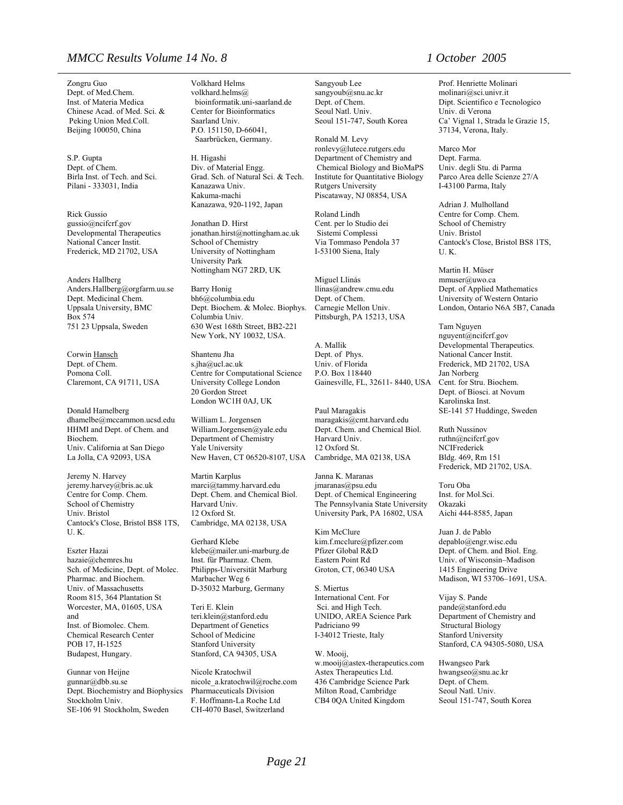### *MMCC Results Volume 14 No. 8 1 October 2005*

Zongru Guo Dept. of Med.Chem. Inst. of Materia Medica Chinese Acad. of Med. Sci. & Peking Union Med.Coll. Beijing 100050, China

S.P. Gupta Dept. of Chem. Birla Inst. of Tech. and Sci. Pilani - 333031, India

Rick Gussio gussio@ncifcrf.gov Developmental Therapeutics National Cancer Instit. Frederick, MD 21702, USA

Anders Hallberg Anders.Hallberg@orgfarm.uu.se Dept. Medicinal Chem. Uppsala University, BMC Box 574 751 23 Uppsala, Sweden

Corwin Hansch Dept. of Chem. Pomona Coll. Claremont, CA 91711, USA

Donald Hamelberg dhamelbe@mccammon.ucsd.edu HHMI and Dept. of Chem. and Biochem. Univ. California at San Diego La Jolla, CA 92093, USA

Jeremy N. Harvey jeremy.harvey@bris.ac.uk Centre for Comp. Chem. School of Chemistry Univ. Bristol Cantock's Close, Bristol BS8 1TS, U. K.

Eszter Hazai hazaie@chemres.hu Sch. of Medicine, Dept. of Molec. Pharmac. and Biochem. Univ. of Massachusetts Room 815, 364 Plantation St Worcester, MA, 01605, USA and Inst. of Biomolec. Chem. Chemical Research Center POB 17, H-1525 Budapest, Hungary.

Gunnar von Heijne gunnar@dbb.su.se Dept. Biochemistry and Biophysics Stockholm Univ. SE-106 91 Stockholm, Sweden

Volkhard Helms volkhard.helms@ bioinformatik.uni-saarland.de Center for Bioinformatics Saarland Univ. P.O. 151150, D-66041, Saarbrücken, Germany.

H. Higashi Div. of Material Engg. Grad. Sch. of Natural Sci. & Tech. Kanazawa Univ. Kakuma-machi Kanazawa, 920-1192, Japan

Jonathan D. Hirst [jonathan.hirst@nottingham.ac.uk](mailto:jonathan.hirst@nottingham.ac.uk) School of Chemistry University of Nottingham University Park Nottingham NG7 2RD, UK

Barry Honig bh6@columbia.edu Dept. Biochem. & Molec. Biophys. Columbia Univ. 630 West 168th Street, BB2-221 New York, NY 10032, USA.

Shantenu Jha s.jha@ucl.ac.uk Centre for Computational Science University College London 20 Gordon Street London WC1H 0AJ, UK

William L. Jorgensen [William.Jorgensen@yale.edu](mailto:William.Jorgensen@yale.edu) Department of Chemistry Yale University New Haven, CT 06520-8107, USA

Martin Karplus marci@tammy.harvard.edu Dept. Chem. and Chemical Biol. Harvard Univ. 12 Oxford St. Cambridge, MA 02138, USA

Gerhard Klebe klebe@mailer.uni-marburg.de Inst. für Pharmaz. Chem. Philipps-Universität Marburg Marbacher Weg 6 D-35032 Marburg, Germany

Teri E. Klein teri.klein@stanford.edu Department of Genetics School of Medicine Stanford University Stanford, CA 94305, USA

Nicole Kratochwil nicole\_a.kratochwil@roche.com Pharmaceuticals Division F. Hoffmann-La Roche Ltd CH-4070 Basel, Switzerland

Sangyoub Lee sangyoub@snu.ac.kr Dept. of Chem. Seoul Natl. Univ. Seoul 151-747, South Korea

Ronald M. Levy [ronlevy@lutece.rutgers.edu](mailto:ronlevy@lutece.rutgers.edu) Department of Chemistry and Chemical Biology and BioMaPS Institute for Quantitative Biology Rutgers University Piscataway, NJ 08854, USA

Roland Lindh Cent. per lo Studio dei Sistemi Complessi Via Tommaso Pendola 37 I-53100 Siena, Italy

Miguel Llinás llinas@andrew.cmu.edu Dept. of Chem. Carnegie Mellon Univ. Pittsburgh, PA 15213, USA

A. Mallik Dept. of Phys. Univ. of Florida P.O. Box 118440 Gainesville, FL, 32611- 8440, USA

Paul Maragakis maragakis@cmt.harvard.edu Dept. Chem. and Chemical Biol. Harvard Univ. 12 Oxford St. Cambridge, MA 02138, USA

Janna K. Maranas jmaranas@psu.edu Dept. of Chemical Engineering The Pennsylvania State University University Park, PA 16802, USA

Kim McClure kim.f.mcclure@pfizer.com Pfizer Global R&D Eastern Point Rd Groton, CT, 06340 USA

S. Miertus International Cent. For Sci. and High Tech. UNIDO, AREA Science Park Padriciano 99 I-34012 Trieste, Italy

W. Mooij, w.mooij@astex-therapeutics.com Astex Therapeutics Ltd. 436 Cambridge Science Park Milton Road, Cambridge CB4 0QA United Kingdom

Prof. Henriette Molinari molinari@sci.univr.it Dipt. Scientifico e Tecnologico Univ. di Verona Ca' Vignal 1, Strada le Grazie 15, 37134, Verona, Italy.

Marco Mor Dept. Farma. Univ. degli Stu. di Parma Parco Area delle Scienze 27/A I-43100 Parma, Italy

Adrian J. Mulholland Centre for Comp. Chem. School of Chemistry Univ. Bristol Cantock's Close, Bristol BS8 1TS, U. K.

[Martin H.](http://scitation.aip.org.erl.lib.byu.edu/vsearch/servlet/VerityServlet?KEY=ALL&possible1=Muser%2C+Martin+H.&possible1zone=author&maxdisp=25&smode=strresults&aqs=true) Müser [mmuser@uwo.ca](mailto:mmuser@uwo.ca) Dept. of Applied Mathematics University of Western Ontario London, Ontario N6A 5B7, Canada

Tam Nguyen nguyent@ncifcrf.gov Developmental Therapeutics. National Cancer Instit. Frederick, MD 21702, USA Jan Norberg Cent. for Stru. Biochem. Dept. of Biosci. at Novum Karolinska Inst. SE-141 57 Huddinge, Sweden

Ruth Nussinov ruthn@ncifcrf.gov NCIFrederick Bldg. 469, Rm 151 Frederick, MD 21702, USA.

Toru Oba Inst. for Mol.Sci. Okazaki Aichi 444-8585, Japan

Juan J. de Pablo depablo@engr.wisc.edu Dept. of Chem. and Biol. Eng. Univ. of Wisconsin–Madison 1415 Engineering Drive Madison, WI 53706–1691, USA.

Vijay S. Pande pande@stanford.edu Department of Chemistry and Structural Biology Stanford University Stanford, CA 94305-5080, USA

Hwangseo Park hwangseo@snu.ac.kr Dept. of Chem. Seoul Natl. Univ. Seoul 151-747, South Korea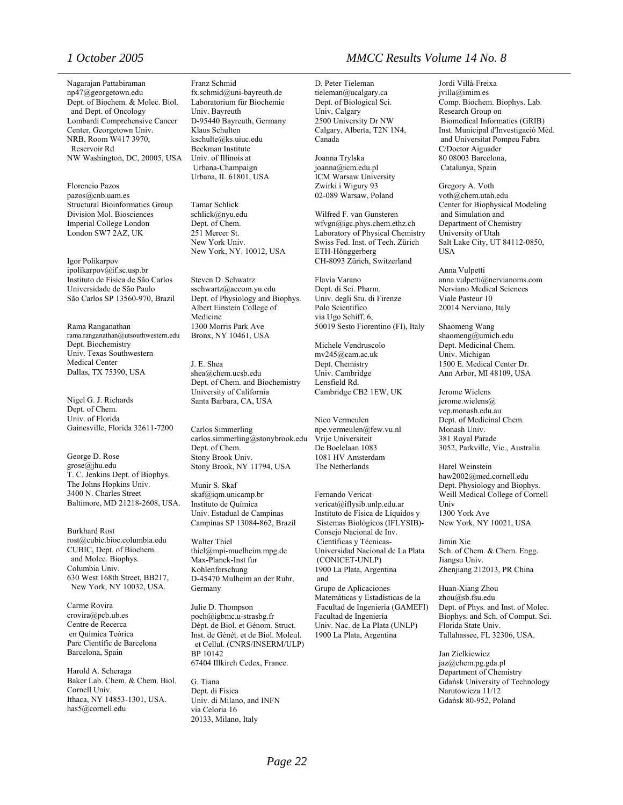Nagarajan Pattabiraman np47@georgetown.edu Dept. of Biochem. & Molec. Biol. and Dept. of Oncology Lombardi Comprehensive Cancer Center, Georgetown Univ. NRB, Room W417 3970, Reservoir Rd NW Washington, DC, 20005, USA

Florencio Pazos pazos@cnb.uam.es Structural Bioinformatics Group Division Mol. Biosciences Imperial College London London SW7 2AZ, UK

Igor Polikarpov [ipolikarpov@if.sc.usp.br](mailto:ipolikarpov@if.sc.usp.br)  Instituto de Física de São Carlos Universidade de São Paulo São Carlos SP 13560-970, Brazil

Rama Ranganathan rama.ranganathan@utsouthwestern.edu Dept. Biochemistry Univ. Texas Southwestern Medical Center Dallas, TX 75390, USA

Nigel G. J. Richards Dept. of Chem. Univ. of Florida Gainesville, Florida 32611-7200

George D. Rose grose@jhu.edu T. C. Jenkins Dept. of Biophys. The Johns Hopkins Univ. 3400 N. Charles Street Baltimore, MD 21218-2608, USA.

Burkhard Rost rost@cubic.bioc.columbia.edu CUBIC, Dept. of Biochem. and Molec. Biophys. Columbia Univ. 630 West 168th Street, BB217, New York, NY 10032, USA.

Carme Rovira [crovira@pcb.ub.es](mailto:crovira@pcb.ub.es) Centre de Recerca en Química Teòrica Parc Científic de Barcelona Barcelona, Spain

Harold A. Scheraga Baker Lab. Chem. & Chem. Biol. Cornell Univ. Ithaca, NY 14853-1301, USA. has5@cornell.edu

Franz Schmid fx.schmid@uni-bayreuth.de Laboratorium für Biochemie Univ. Bayreuth D-95440 Bayreuth, Germany Klaus Schulten [kschulte@ks.uiuc.edu](mailto:kschulte@ks.uiuc.edu) Beckman Institute Univ. of Illinois at Urbana-Champaign Urbana, IL 61801, USA

Tamar Schlick schlick@nyu.edu Dept. of Chem. 251 Mercer St. New York Univ. New York, NY. 10012, USA

Steven D. Schwatrz sschwartz@aecom.yu.edu Dept. of Physiology and Biophys. Albert Einstein College of Medicine 1300 Morris Park Ave Bronx, NY 10461, USA

J. E. Shea [shea@chem.ucsb.edu](mailto:shea@chem.ucsb.edu) Dept. of Chem. and Biochemistry University of California Santa Barbara, CA, USA

Carlos Simmerling carlos.simmerling@stonybrook.edu Dept. of Chem. Stony Brook Univ. Stony Brook, NY 11794, USA

Munir S. Skaf [skaf@iqm.unicamp.br](mailto:skaf@iqm.unicamp.br) Instituto de Química Univ. Estadual de Campinas Campinas SP 13084-862, Brazil

Walter Thiel thiel@mpi-muelheim.mpg.de Max-Planck-Inst fur Kohlenforschung D-45470 Mulheim an der Ruhr, Germany

Julie D. Thompson poch@igbmc.u-strasbg.fr Dépt. de Biol. et Génom. Struct. Inst. de Génét. et de Biol. Molcul. et Cellul. (CNRS/INSERM/ULP) BP 10142 67404 Illkirch Cedex, France.

G. Tiana Dept. di Fisica Univ. di Milano, and INFN via Celoria 16 20133, Milano, Italy

### *1 October 2005 MMCC Results Volume 14 No. 8*

D. Peter Tieleman tieleman@ucalgary.ca Dept. of Biological Sci. Univ. Calgary 2500 University Dr NW Calgary, Alberta, T2N 1N4, Canada

Joanna Trylska joanna@icm.edu.pl ICM Warsaw University Zwirki i Wigury 93 02-089 Warsaw, Poland

Wilfred F. van Gunsteren [wfvgn@igc.phys.chem.ethz.ch](mailto:wfvgn@igc.phys.chem.ethz.ch) Laboratory of Physical Chemistry Swiss Fed. Inst. of Tech. Zürich ETH-Hönggerberg CH-8093 Zürich, Switzerland

Flavia Varano Dept. di Sci. Pharm. Univ. degli Stu. di Firenze Polo Scientifico via Ugo Schiff, 6, 50019 Sesto Fiorentino (FI), Italy

Michele Vendruscolo mv245@cam.ac.uk Dept. Chemistry Univ. Cambridge Lensfield Rd. Cambridge CB2 1EW, UK

Nico Vermeulen npe.vermeulen@few.vu.nl Vrije Universiteit De Boelelaan 1083 1081 HV Amsterdam The Netherlands

[Fernando Vericat](http://scitation.aip.org.erl.lib.byu.edu/vsearch/servlet/VerityServlet?KEY=ALL&possible1=Vericat%2C+Fernando&possible1zone=author&maxdisp=25&smode=strresults&aqs=true) vericat@iflysib.unlp.edu.ar Instituto de Física de Líquidos y Sistemas Biológicos (IFLYSIB)- Consejo Nacional de Inv. Científicas y Técnicas-Universidad Nacional de La Plata (CONICET-UNLP) 1900 La Plata, Argentina and Grupo de Aplicaciones Matemáticas y Estadísticas de la Facultad de Ingeniería (GAMEFI) Facultad de Ingeniería Univ. Nac. de La Plata (UNLP) 1900 La Plata, Argentina

Jordi Villà-Freixa jvilla@imim.es Comp. Biochem. Biophys. Lab. Research Group on Biomedical Informatics (GRIB) Inst. Municipal d'Investigació Mèd. and Universitat Pompeu Fabra C/Doctor Aiguader 80 08003 Barcelona, Catalunya, Spain

Gregory A. Voth voth@chem.utah.edu Center for Biophysical Modeling and Simulation and Department of Chemistry University of Utah Salt Lake City, UT 84112-0850, USA

Anna Vulpetti anna.vulpetti@nervianoms.com Nerviano Medical Sciences Viale Pasteur 10 20014 Nerviano, Italy

Shaomeng Wang shaomeng@umich.edu Dept. Medicinal Chem. Univ. Michigan 1500 E. Medical Center Dr. Ann Arbor, MI 48109, USA

Jerome Wielens jerome.wielens@ vcp.monash.edu.au Dept. of Medicinal Chem. Monash Univ. 381 Royal Parade 3052, Parkville, Vic., Australia.

Harel Weinstein haw2002@med.cornell.edu Dept. Physiology and Biophys. Weill Medical College of Cornell Univ 1300 York Ave New York, NY 10021, USA

Jimin Xie Sch. of Chem. & Chem. Engg. Jiangsu Univ. Zhenjiang 212013, PR China

Huan-Xiang Zhou zhou@sb.fsu.edu Dept. of Phys. and Inst. of Molec. Biophys. and Sch. of Comput. Sci. Florida State Univ. Tallahassee, FL 32306, USA.

[Jan Zielkiewicz](http://scitation.aip.org.erl.lib.byu.edu/vsearch/servlet/VerityServlet?KEY=ALL&possible1=Zielkiewicz%2C+Jan&possible1zone=author&maxdisp=25&smode=strresults&aqs=true)  jaz@chem.pg.gda.pl Department of Chemistry Gdańsk University of Technology Narutowicza 11/12 Gdańsk 80-952, Poland